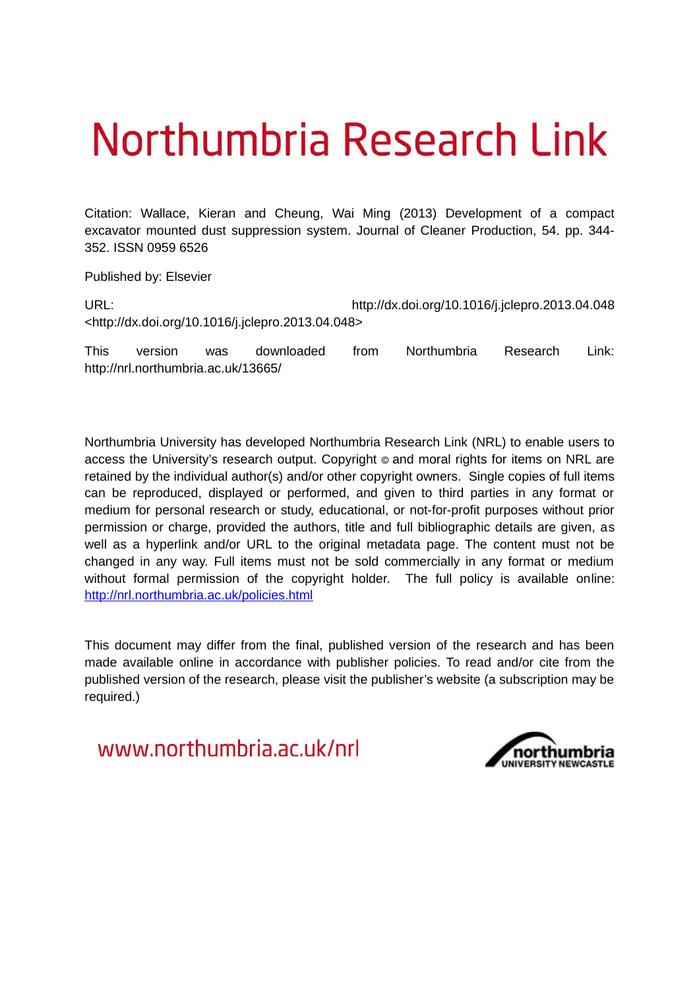# Northumbria Research Link

Citation: Wallace, Kieran and Cheung, Wai Ming (2013) Development of a compact excavator mounted dust suppression system. Journal of Cleaner Production, 54. pp. 344- 352. ISSN 0959 6526

Published by: Elsevier

URL: http://dx.doi.org/10.1016/j.jclepro.2013.04.048 <http://dx.doi.org/10.1016/j.jclepro.2013.04.048>

This version was downloaded from Northumbria Research Link: http://nrl.northumbria.ac.uk/13665/

Northumbria University has developed Northumbria Research Link (NRL) to enable users to access the University's research output. Copyright  $\circ$  and moral rights for items on NRL are retained by the individual author(s) and/or other copyright owners. Single copies of full items can be reproduced, displayed or performed, and given to third parties in any format or medium for personal research or study, educational, or not-for-profit purposes without prior permission or charge, provided the authors, title and full bibliographic details are given, as well as a hyperlink and/or URL to the original metadata page. The content must not be changed in any way. Full items must not be sold commercially in any format or medium without formal permission of the copyright holder. The full policy is available online: <http://nrl.northumbria.ac.uk/policies.html>

This document may differ from the final, published version of the research and has been made available online in accordance with publisher policies. To read and/or cite from the published version of the research, please visit the publisher's website (a subscription may be required.)

www.northumbria.ac.uk/nrl

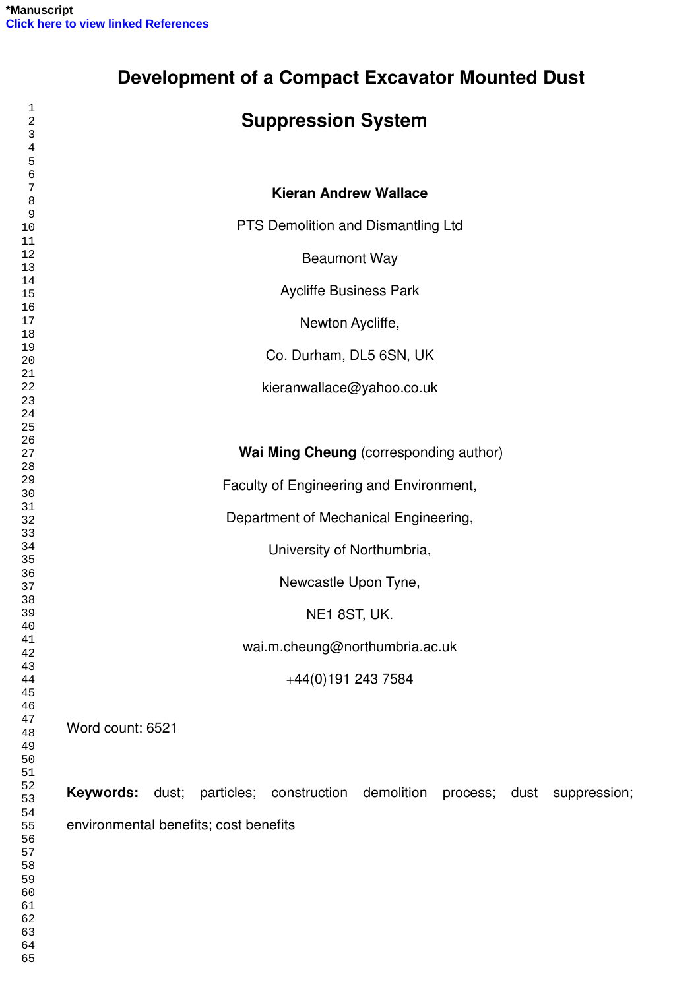|                  |  | <b>Suppression System</b>               |  |  |
|------------------|--|-----------------------------------------|--|--|
|                  |  |                                         |  |  |
|                  |  |                                         |  |  |
|                  |  | <b>Kieran Andrew Wallace</b>            |  |  |
|                  |  | PTS Demolition and Dismantling Ltd      |  |  |
|                  |  | <b>Beaumont Way</b>                     |  |  |
|                  |  |                                         |  |  |
|                  |  | <b>Aycliffe Business Park</b>           |  |  |
|                  |  | Newton Aycliffe,                        |  |  |
|                  |  | Co. Durham, DL5 6SN, UK                 |  |  |
|                  |  | kieranwallace@yahoo.co.uk               |  |  |
|                  |  |                                         |  |  |
|                  |  |                                         |  |  |
|                  |  | Wai Ming Cheung (corresponding author)  |  |  |
|                  |  | Faculty of Engineering and Environment, |  |  |
|                  |  | Department of Mechanical Engineering,   |  |  |
|                  |  |                                         |  |  |
|                  |  | University of Northumbria,              |  |  |
|                  |  | Newcastle Upon Tyne,                    |  |  |
|                  |  | NE1 8ST, UK.                            |  |  |
|                  |  | wai.m.cheung@northumbria.ac.uk          |  |  |
|                  |  |                                         |  |  |
|                  |  | +44(0)191 243 7584                      |  |  |
| Word count: 6521 |  |                                         |  |  |
|                  |  |                                         |  |  |
|                  |  |                                         |  |  |
|                  |  |                                         |  |  |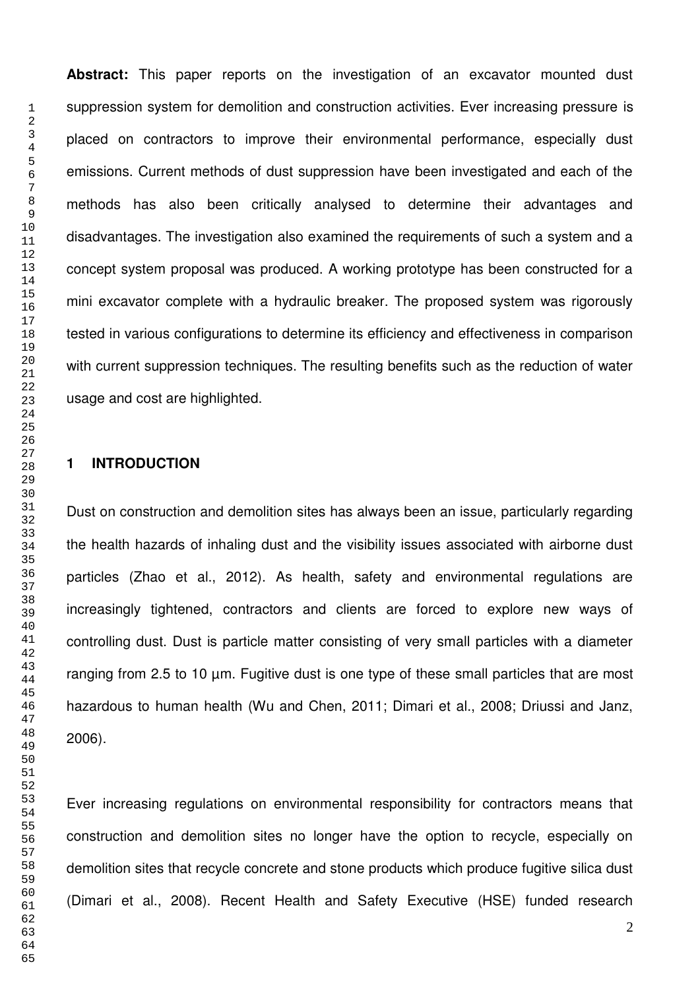**Abstract:** This paper reports on the investigation of an excavator mounted dust suppression system for demolition and construction activities. Ever increasing pressure is placed on contractors to improve their environmental performance, especially dust emissions. Current methods of dust suppression have been investigated and each of the methods has also been critically analysed to determine their advantages and disadvantages. The investigation also examined the requirements of such a system and a concept system proposal was produced. A working prototype has been constructed for a mini excavator complete with a hydraulic breaker. The proposed system was rigorously tested in various configurations to determine its efficiency and effectiveness in comparison with current suppression techniques. The resulting benefits such as the reduction of water usage and cost are highlighted.

# **1 INTRODUCTION**

Dust on construction and demolition sites has always been an issue, particularly regarding the health hazards of inhaling dust and the visibility issues associated with airborne dust particles (Zhao et al., 2012). As health, safety and environmental regulations are increasingly tightened, contractors and clients are forced to explore new ways of controlling dust. Dust is particle matter consisting of very small particles with a diameter ranging from 2.5 to 10 µm. Fugitive dust is one type of these small particles that are most hazardous to human health (Wu and Chen, 2011; Dimari et al., 2008; Driussi and Janz, 2006).

Ever increasing regulations on environmental responsibility for contractors means that construction and demolition sites no longer have the option to recycle, especially on demolition sites that recycle concrete and stone products which produce fugitive silica dust (Dimari et al., 2008). Recent Health and Safety Executive (HSE) funded research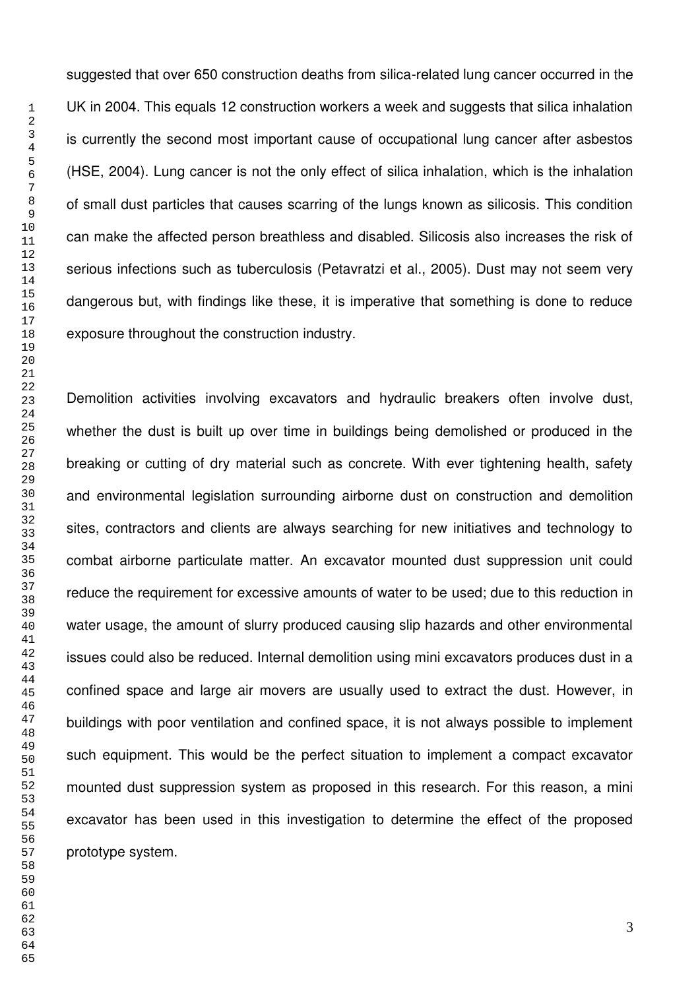suggested that over 650 construction deaths from silica-related lung cancer occurred in the UK in 2004. This equals 12 construction workers a week and suggests that silica inhalation is currently the second most important cause of occupational lung cancer after asbestos (HSE, 2004). Lung cancer is not the only effect of silica inhalation, which is the inhalation of small dust particles that causes scarring of the lungs known as silicosis. This condition can make the affected person breathless and disabled. Silicosis also increases the risk of serious infections such as tuberculosis (Petavratzi et al., 2005). Dust may not seem very dangerous but, with findings like these, it is imperative that something is done to reduce exposure throughout the construction industry.

Demolition activities involving excavators and hydraulic breakers often involve dust, whether the dust is built up over time in buildings being demolished or produced in the breaking or cutting of dry material such as concrete. With ever tightening health, safety and environmental legislation surrounding airborne dust on construction and demolition sites, contractors and clients are always searching for new initiatives and technology to combat airborne particulate matter. An excavator mounted dust suppression unit could reduce the requirement for excessive amounts of water to be used; due to this reduction in water usage, the amount of slurry produced causing slip hazards and other environmental issues could also be reduced. Internal demolition using mini excavators produces dust in a confined space and large air movers are usually used to extract the dust. However, in buildings with poor ventilation and confined space, it is not always possible to implement such equipment. This would be the perfect situation to implement a compact excavator mounted dust suppression system as proposed in this research. For this reason, a mini excavator has been used in this investigation to determine the effect of the proposed prototype system.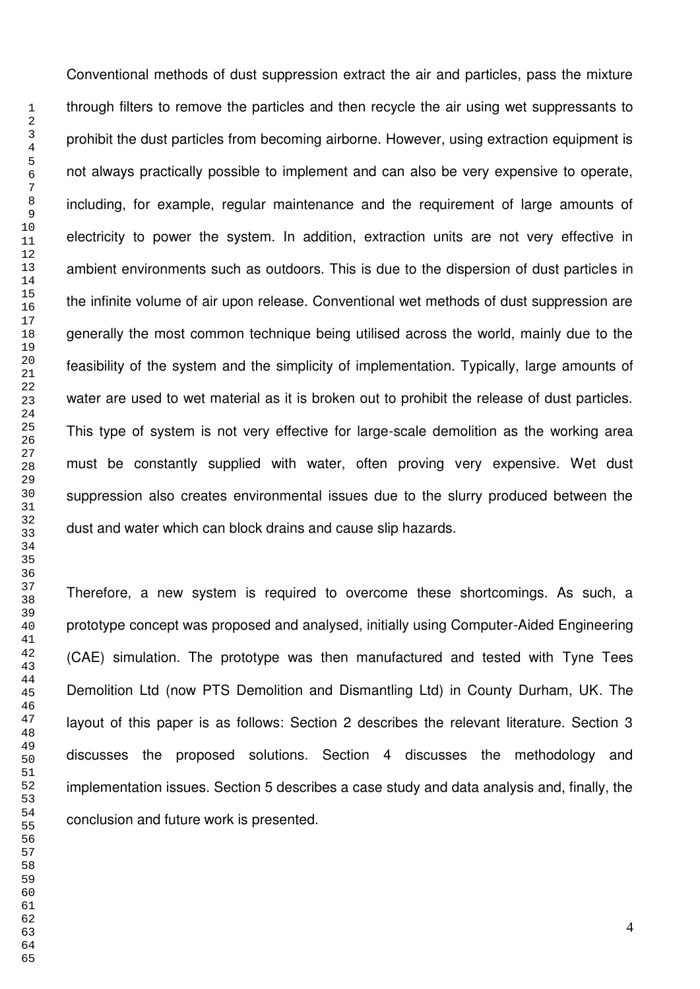Conventional methods of dust suppression extract the air and particles, pass the mixture through filters to remove the particles and then recycle the air using wet suppressants to prohibit the dust particles from becoming airborne. However, using extraction equipment is not always practically possible to implement and can also be very expensive to operate, including, for example, regular maintenance and the requirement of large amounts of electricity to power the system. In addition, extraction units are not very effective in ambient environments such as outdoors. This is due to the dispersion of dust particles in the infinite volume of air upon release. Conventional wet methods of dust suppression are generally the most common technique being utilised across the world, mainly due to the feasibility of the system and the simplicity of implementation. Typically, large amounts of water are used to wet material as it is broken out to prohibit the release of dust particles. This type of system is not very effective for large-scale demolition as the working area must be constantly supplied with water, often proving very expensive. Wet dust suppression also creates environmental issues due to the slurry produced between the dust and water which can block drains and cause slip hazards.

Therefore, a new system is required to overcome these shortcomings. As such, a prototype concept was proposed and analysed, initially using Computer-Aided Engineering (CAE) simulation. The prototype was then manufactured and tested with Tyne Tees Demolition Ltd (now PTS Demolition and Dismantling Ltd) in County Durham, UK. The layout of this paper is as follows: Section 2 describes the relevant literature. Section 3 discusses the proposed solutions. Section 4 discusses the methodology and implementation issues. Section 5 describes a case study and data analysis and, finally, the conclusion and future work is presented.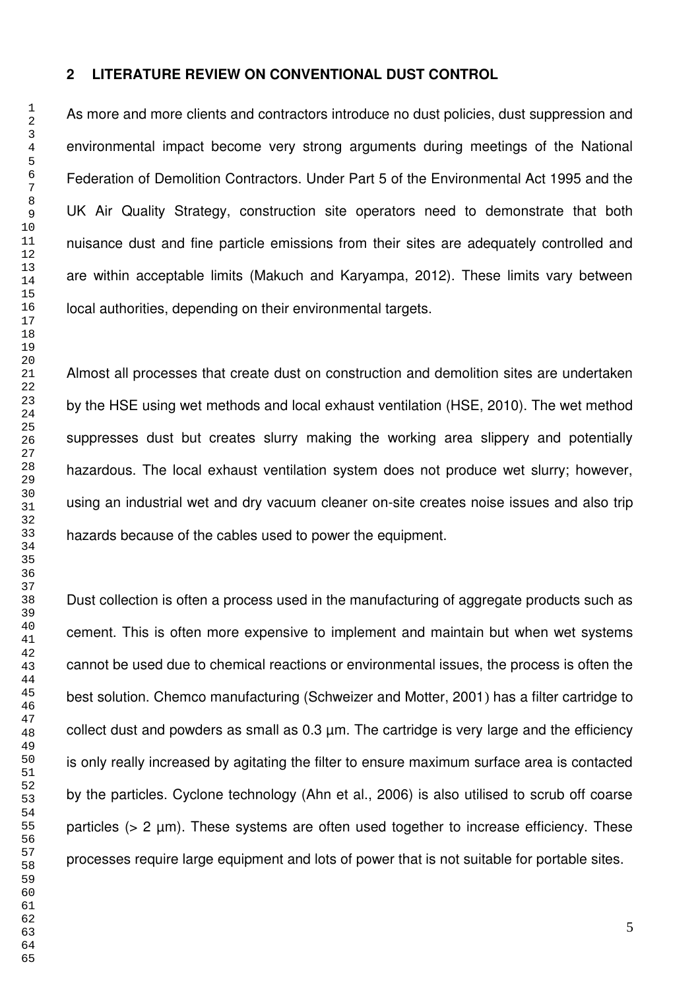# **2 LITERATURE REVIEW ON CONVENTIONAL DUST CONTROL**

As more and more clients and contractors introduce no dust policies, dust suppression and environmental impact become very strong arguments during meetings of the National Federation of Demolition Contractors. Under Part 5 of the Environmental Act 1995 and the UK Air Quality Strategy, construction site operators need to demonstrate that both nuisance dust and fine particle emissions from their sites are adequately controlled and are within acceptable limits (Makuch and Karyampa, 2012). These limits vary between local authorities, depending on their environmental targets.

Almost all processes that create dust on construction and demolition sites are undertaken by the HSE using wet methods and local exhaust ventilation (HSE, 2010). The wet method suppresses dust but creates slurry making the working area slippery and potentially hazardous. The local exhaust ventilation system does not produce wet slurry; however, using an industrial wet and dry vacuum cleaner on-site creates noise issues and also trip hazards because of the cables used to power the equipment.

Dust collection is often a process used in the manufacturing of aggregate products such as cement. This is often more expensive to implement and maintain but when wet systems cannot be used due to chemical reactions or environmental issues, the process is often the best solution. Chemco manufacturing (Schweizer and Motter, 2001) has a filter cartridge to collect dust and powders as small as  $0.3 \mu m$ . The cartridge is very large and the efficiency is only really increased by agitating the filter to ensure maximum surface area is contacted by the particles. Cyclone technology (Ahn et al., 2006) is also utilised to scrub off coarse particles  $(> 2 \mu m)$ . These systems are often used together to increase efficiency. These processes require large equipment and lots of power that is not suitable for portable sites.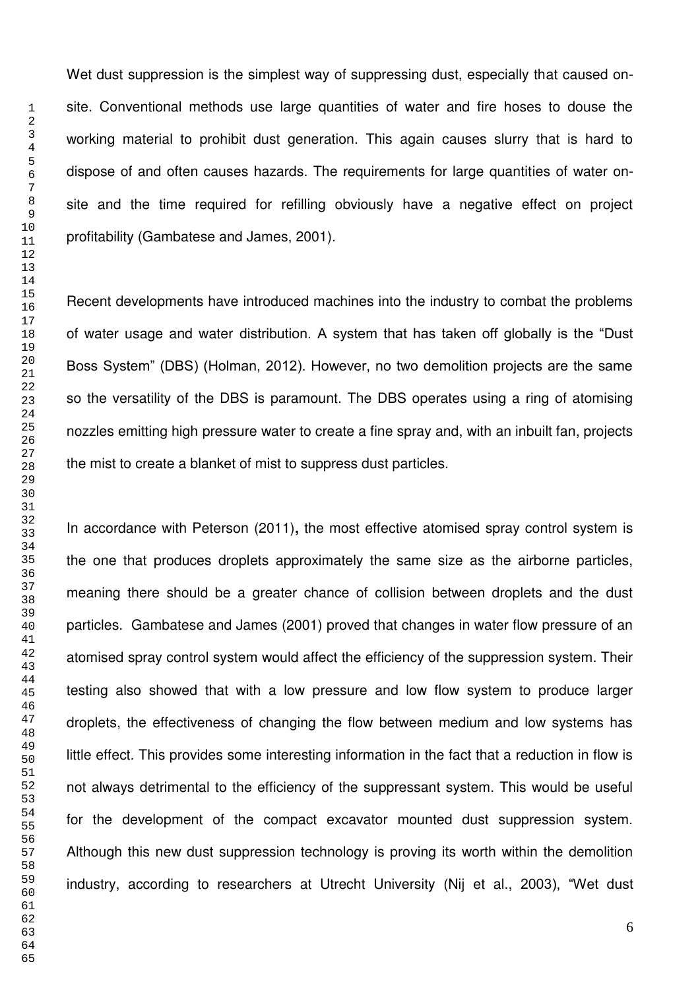Wet dust suppression is the simplest way of suppressing dust, especially that caused onsite. Conventional methods use large quantities of water and fire hoses to douse the working material to prohibit dust generation. This again causes slurry that is hard to dispose of and often causes hazards. The requirements for large quantities of water onsite and the time required for refilling obviously have a negative effect on project profitability (Gambatese and James, 2001).

Recent developments have introduced machines into the industry to combat the problems of water usage and water distribution. A system that has taken off globally is the "Dust Boss System" (DBS) (Holman, 2012). However, no two demolition projects are the same so the versatility of the DBS is paramount. The DBS operates using a ring of atomising nozzles emitting high pressure water to create a fine spray and, with an inbuilt fan, projects the mist to create a blanket of mist to suppress dust particles.

In accordance with Peterson (2011)**,** the most effective atomised spray control system is the one that produces droplets approximately the same size as the airborne particles, meaning there should be a greater chance of collision between droplets and the dust particles. Gambatese and James (2001) proved that changes in water flow pressure of an atomised spray control system would affect the efficiency of the suppression system. Their testing also showed that with a low pressure and low flow system to produce larger droplets, the effectiveness of changing the flow between medium and low systems has little effect. This provides some interesting information in the fact that a reduction in flow is not always detrimental to the efficiency of the suppressant system. This would be useful for the development of the compact excavator mounted dust suppression system. Although this new dust suppression technology is proving its worth within the demolition industry, according to researchers at Utrecht University (Nij et al., 2003), "Wet dust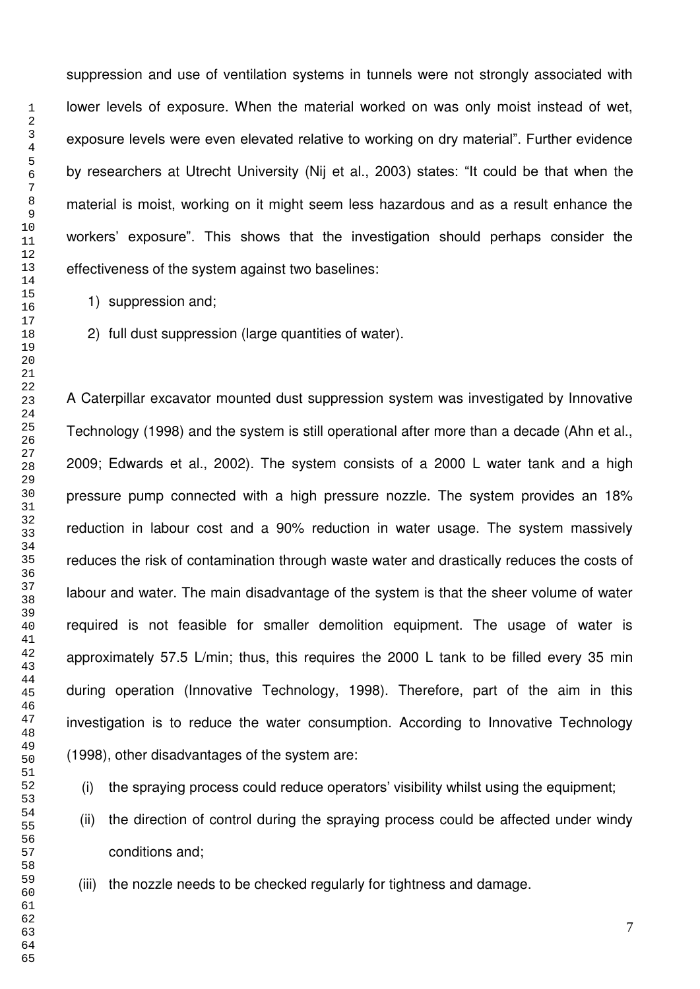suppression and use of ventilation systems in tunnels were not strongly associated with lower levels of exposure. When the material worked on was only moist instead of wet, exposure levels were even elevated relative to working on dry material". Further evidence by researchers at Utrecht University (Nij et al., 2003) states: "It could be that when the material is moist, working on it might seem less hazardous and as a result enhance the workers' exposure". This shows that the investigation should perhaps consider the effectiveness of the system against two baselines:

- 1) suppression and;
- 2) full dust suppression (large quantities of water).

A Caterpillar excavator mounted dust suppression system was investigated by Innovative Technology (1998) and the system is still operational after more than a decade (Ahn et al., 2009; Edwards et al., 2002). The system consists of a 2000 L water tank and a high pressure pump connected with a high pressure nozzle. The system provides an 18% reduction in labour cost and a 90% reduction in water usage. The system massively reduces the risk of contamination through waste water and drastically reduces the costs of labour and water. The main disadvantage of the system is that the sheer volume of water required is not feasible for smaller demolition equipment. The usage of water is approximately 57.5 L/min; thus, this requires the 2000 L tank to be filled every 35 min during operation (Innovative Technology, 1998). Therefore, part of the aim in this investigation is to reduce the water consumption. According to Innovative Technology (1998), other disadvantages of the system are:

- (i) the spraying process could reduce operators' visibility whilst using the equipment;
- (ii) the direction of control during the spraying process could be affected under windy conditions and;
- (iii) the nozzle needs to be checked regularly for tightness and damage.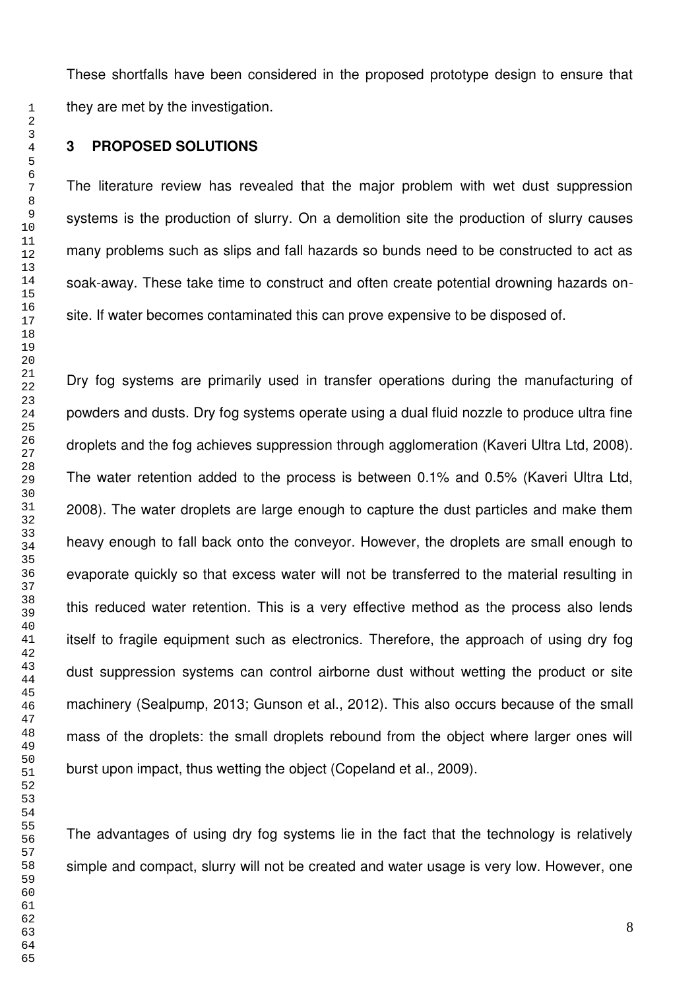These shortfalls have been considered in the proposed prototype design to ensure that they are met by the investigation.

# **3 PROPOSED SOLUTIONS**

The literature review has revealed that the major problem with wet dust suppression systems is the production of slurry. On a demolition site the production of slurry causes many problems such as slips and fall hazards so bunds need to be constructed to act as soak-away. These take time to construct and often create potential drowning hazards onsite. If water becomes contaminated this can prove expensive to be disposed of.

Dry fog systems are primarily used in transfer operations during the manufacturing of powders and dusts. Dry fog systems operate using a dual fluid nozzle to produce ultra fine droplets and the fog achieves suppression through agglomeration (Kaveri Ultra Ltd, 2008). The water retention added to the process is between 0.1% and 0.5% (Kaveri Ultra Ltd, 2008). The water droplets are large enough to capture the dust particles and make them heavy enough to fall back onto the conveyor. However, the droplets are small enough to evaporate quickly so that excess water will not be transferred to the material resulting in this reduced water retention. This is a very effective method as the process also lends itself to fragile equipment such as electronics. Therefore, the approach of using dry fog dust suppression systems can control airborne dust without wetting the product or site machinery (Sealpump, 2013; Gunson et al., 2012). This also occurs because of the small mass of the droplets: the small droplets rebound from the object where larger ones will burst upon impact, thus wetting the object (Copeland et al., 2009).

The advantages of using dry fog systems lie in the fact that the technology is relatively simple and compact, slurry will not be created and water usage is very low. However, one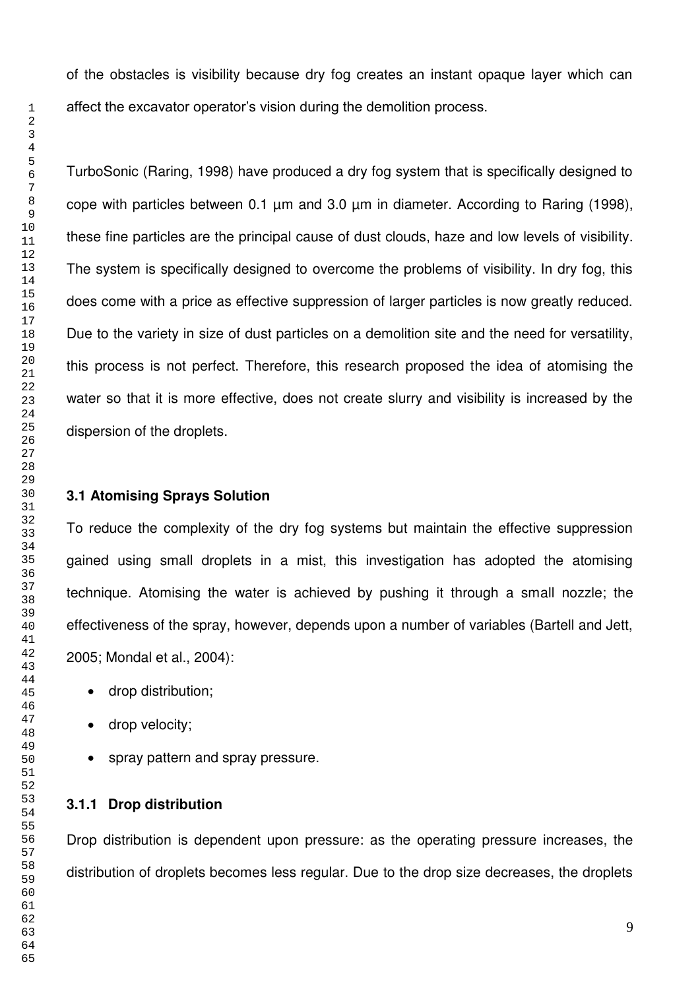of the obstacles is visibility because dry fog creates an instant opaque layer which can affect the excavator operator's vision during the demolition process.

TurboSonic (Raring, 1998) have produced a dry fog system that is specifically designed to cope with particles between 0.1 µm and 3.0 µm in diameter. According to Raring (1998), these fine particles are the principal cause of dust clouds, haze and low levels of visibility. The system is specifically designed to overcome the problems of visibility. In dry fog, this does come with a price as effective suppression of larger particles is now greatly reduced. Due to the variety in size of dust particles on a demolition site and the need for versatility, this process is not perfect. Therefore, this research proposed the idea of atomising the water so that it is more effective, does not create slurry and visibility is increased by the dispersion of the droplets.

#### **3.1 Atomising Sprays Solution**

To reduce the complexity of the dry fog systems but maintain the effective suppression gained using small droplets in a mist, this investigation has adopted the atomising technique. Atomising the water is achieved by pushing it through a small nozzle; the effectiveness of the spray, however, depends upon a number of variables (Bartell and Jett, 2005; Mondal et al., 2004):

- drop distribution;
- drop velocity;
- spray pattern and spray pressure.

# **3.1.1 Drop distribution**

Drop distribution is dependent upon pressure: as the operating pressure increases, the distribution of droplets becomes less regular. Due to the drop size decreases, the droplets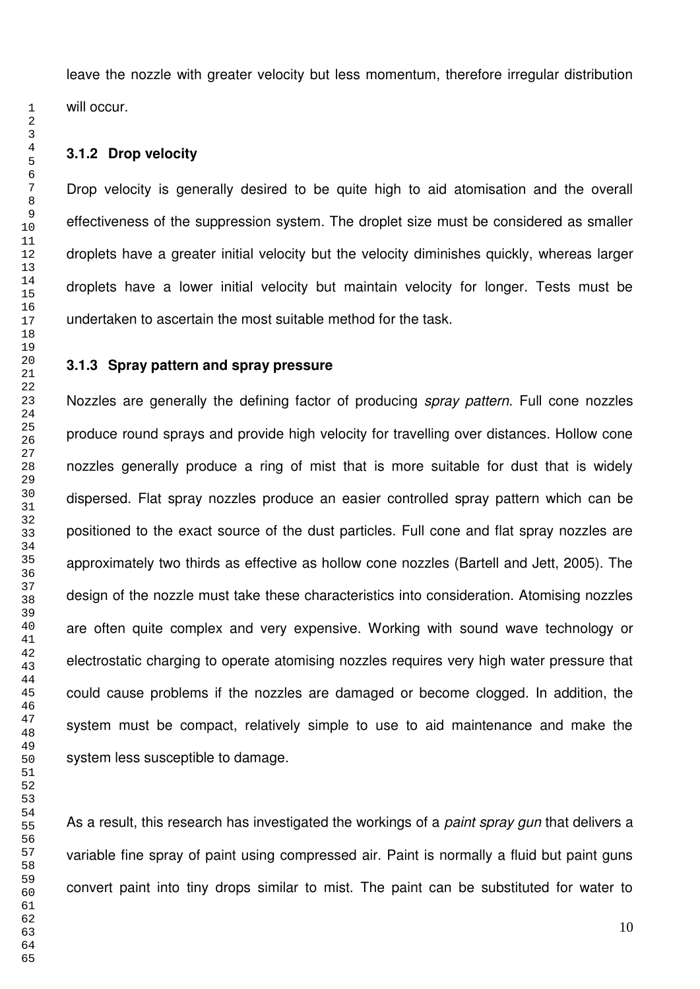leave the nozzle with greater velocity but less momentum, therefore irregular distribution will occur.

# **3.1.2 Drop velocity**

Drop velocity is generally desired to be quite high to aid atomisation and the overall effectiveness of the suppression system. The droplet size must be considered as smaller droplets have a greater initial velocity but the velocity diminishes quickly, whereas larger droplets have a lower initial velocity but maintain velocity for longer. Tests must be undertaken to ascertain the most suitable method for the task.

# **3.1.3 Spray pattern and spray pressure**

Nozzles are generally the defining factor of producing *spray pattern*. Full cone nozzles produce round sprays and provide high velocity for travelling over distances. Hollow cone nozzles generally produce a ring of mist that is more suitable for dust that is widely dispersed. Flat spray nozzles produce an easier controlled spray pattern which can be positioned to the exact source of the dust particles. Full cone and flat spray nozzles are approximately two thirds as effective as hollow cone nozzles (Bartell and Jett, 2005). The design of the nozzle must take these characteristics into consideration. Atomising nozzles are often quite complex and very expensive. Working with sound wave technology or electrostatic charging to operate atomising nozzles requires very high water pressure that could cause problems if the nozzles are damaged or become clogged. In addition, the system must be compact, relatively simple to use to aid maintenance and make the system less susceptible to damage.

As a result, this research has investigated the workings of a *paint spray gun* that delivers a variable fine spray of paint using compressed air. Paint is normally a fluid but paint guns convert paint into tiny drops similar to mist. The paint can be substituted for water to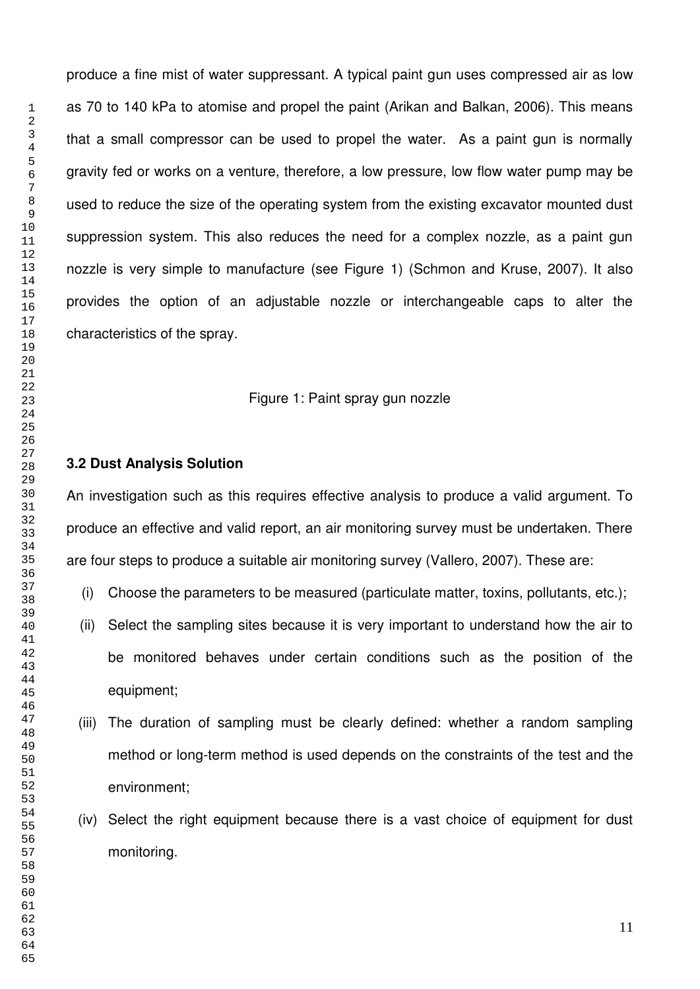produce a fine mist of water suppressant. A typical paint gun uses compressed air as low as 70 to 140 kPa to atomise and propel the paint (Arikan and Balkan, 2006). This means that a small compressor can be used to propel the water. As a paint gun is normally gravity fed or works on a venture, therefore, a low pressure, low flow water pump may be used to reduce the size of the operating system from the existing excavator mounted dust suppression system. This also reduces the need for a complex nozzle, as a paint gun nozzle is very simple to manufacture (see Figure 1) (Schmon and Kruse, 2007). It also provides the option of an adjustable nozzle or interchangeable caps to alter the characteristics of the spray.

#### Figure 1: Paint spray gun nozzle

# **3.2 Dust Analysis Solution**

An investigation such as this requires effective analysis to produce a valid argument. To produce an effective and valid report, an air monitoring survey must be undertaken. There are four steps to produce a suitable air monitoring survey (Vallero, 2007). These are:

- (i) Choose the parameters to be measured (particulate matter, toxins, pollutants, etc.);
- (ii) Select the sampling sites because it is very important to understand how the air to be monitored behaves under certain conditions such as the position of the equipment;
- (iii) The duration of sampling must be clearly defined: whether a random sampling method or long-term method is used depends on the constraints of the test and the environment;
- (iv) Select the right equipment because there is a vast choice of equipment for dust monitoring.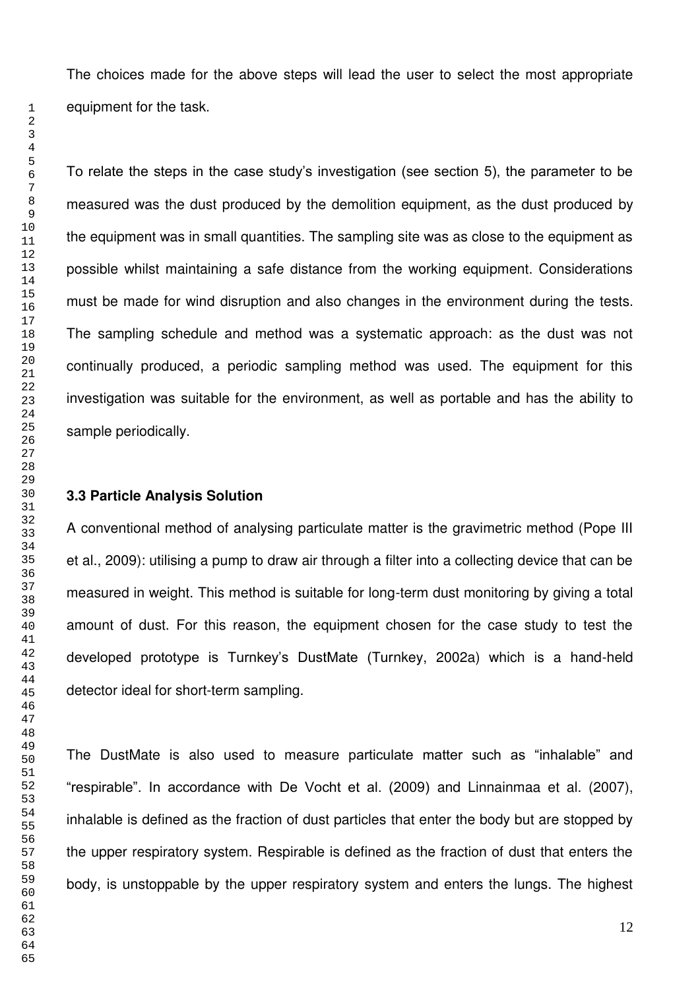The choices made for the above steps will lead the user to select the most appropriate equipment for the task.

To relate the steps in the case study's investigation (see section 5), the parameter to be measured was the dust produced by the demolition equipment, as the dust produced by the equipment was in small quantities. The sampling site was as close to the equipment as possible whilst maintaining a safe distance from the working equipment. Considerations must be made for wind disruption and also changes in the environment during the tests. The sampling schedule and method was a systematic approach: as the dust was not continually produced, a periodic sampling method was used. The equipment for this investigation was suitable for the environment, as well as portable and has the ability to sample periodically.

#### **3.3 Particle Analysis Solution**

A conventional method of analysing particulate matter is the gravimetric method (Pope III et al., 2009): utilising a pump to draw air through a filter into a collecting device that can be measured in weight. This method is suitable for long-term dust monitoring by giving a total amount of dust. For this reason, the equipment chosen for the case study to test the developed prototype is Turnkey's DustMate (Turnkey, 2002a) which is a hand-held detector ideal for short-term sampling.

The DustMate is also used to measure particulate matter such as "inhalable" and "respirable". In accordance with De Vocht et al. (2009) and Linnainmaa et al. (2007), inhalable is defined as the fraction of dust particles that enter the body but are stopped by the upper respiratory system. Respirable is defined as the fraction of dust that enters the body, is unstoppable by the upper respiratory system and enters the lungs. The highest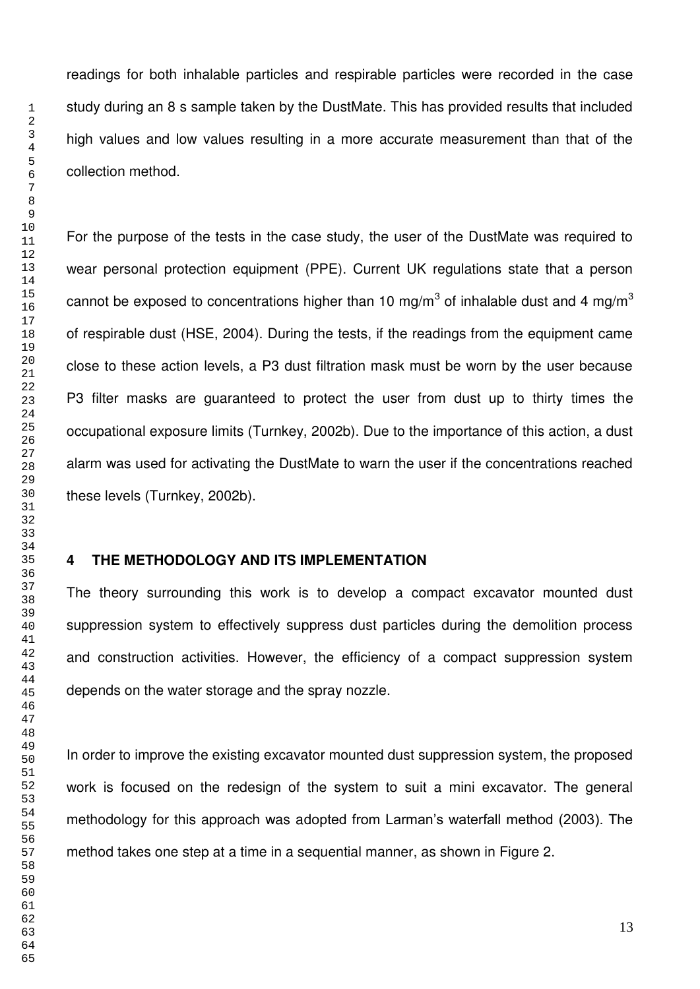readings for both inhalable particles and respirable particles were recorded in the case study during an 8 s sample taken by the DustMate. This has provided results that included high values and low values resulting in a more accurate measurement than that of the collection method.

For the purpose of the tests in the case study, the user of the DustMate was required to wear personal protection equipment (PPE). Current UK regulations state that a person cannot be exposed to concentrations higher than 10 mg/m $^3$  of inhalable dust and 4 mg/m $^3$ of respirable dust (HSE, 2004). During the tests, if the readings from the equipment came close to these action levels, a P3 dust filtration mask must be worn by the user because P3 filter masks are guaranteed to protect the user from dust up to thirty times the occupational exposure limits (Turnkey, 2002b). Due to the importance of this action, a dust alarm was used for activating the DustMate to warn the user if the concentrations reached these levels (Turnkey, 2002b).

# **4 THE METHODOLOGY AND ITS IMPLEMENTATION**

The theory surrounding this work is to develop a compact excavator mounted dust suppression system to effectively suppress dust particles during the demolition process and construction activities. However, the efficiency of a compact suppression system depends on the water storage and the spray nozzle.

In order to improve the existing excavator mounted dust suppression system, the proposed work is focused on the redesign of the system to suit a mini excavator. The general methodology for this approach was adopted from Larman's waterfall method (2003). The method takes one step at a time in a sequential manner, as shown in Figure 2.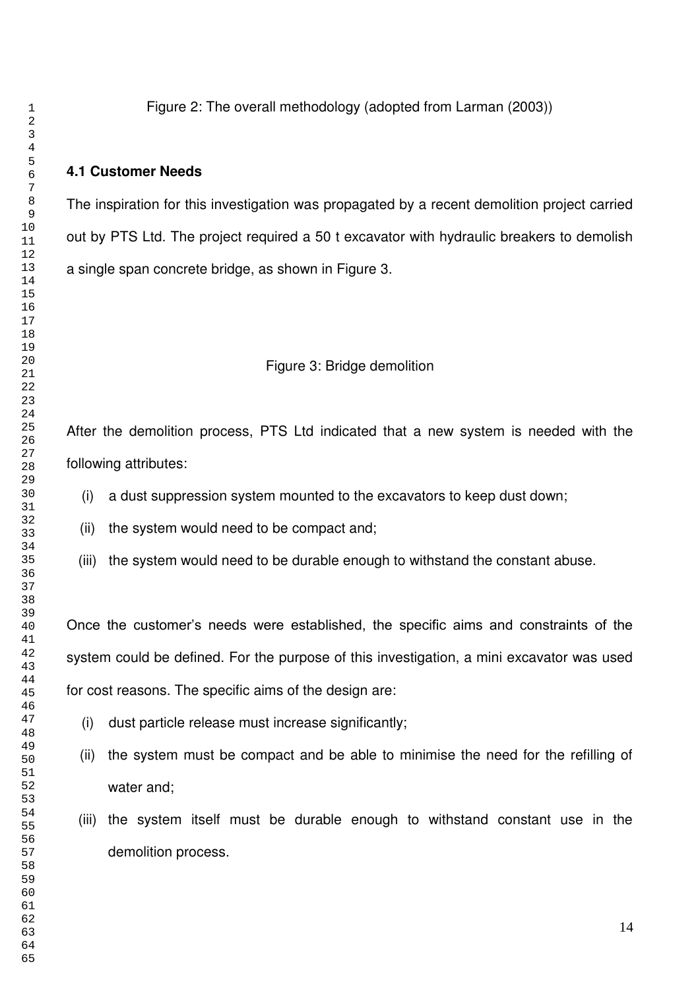Figure 2: The overall methodology (adopted from Larman (2003))

# **4.1 Customer Needs**

The inspiration for this investigation was propagated by a recent demolition project carried out by PTS Ltd. The project required a 50 t excavator with hydraulic breakers to demolish a single span concrete bridge, as shown in Figure 3.

# Figure 3: Bridge demolition

After the demolition process, PTS Ltd indicated that a new system is needed with the following attributes:

- (i) a dust suppression system mounted to the excavators to keep dust down;
- (ii) the system would need to be compact and;
- (iii) the system would need to be durable enough to withstand the constant abuse.

Once the customer's needs were established, the specific aims and constraints of the system could be defined. For the purpose of this investigation, a mini excavator was used for cost reasons. The specific aims of the design are:

- (i) dust particle release must increase significantly;
- (ii) the system must be compact and be able to minimise the need for the refilling of water and;
- (iii) the system itself must be durable enough to withstand constant use in the demolition process.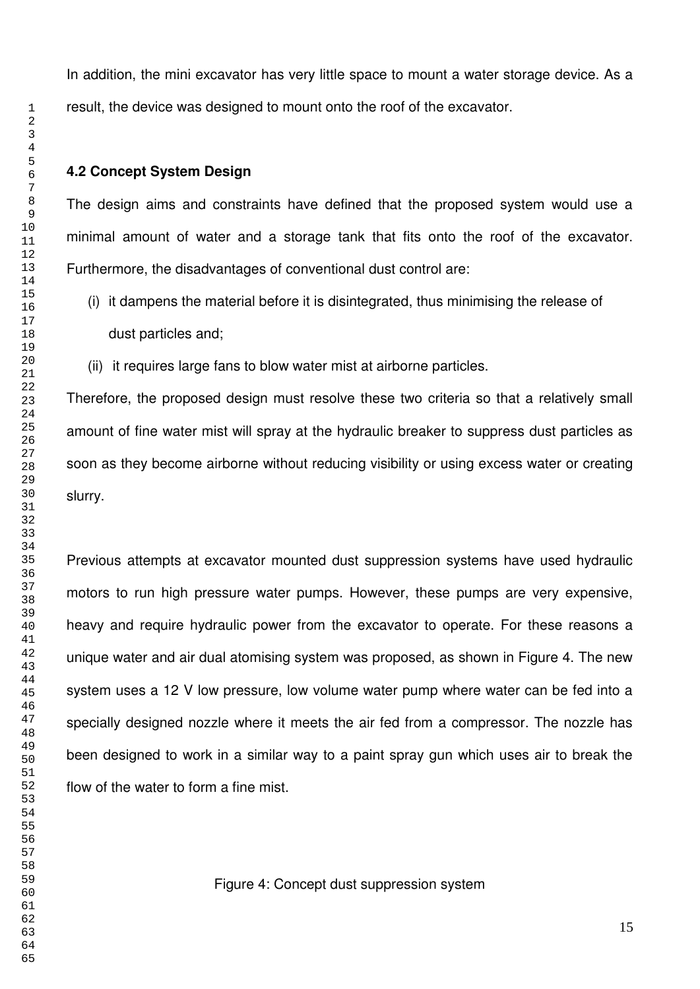In addition, the mini excavator has very little space to mount a water storage device. As a result, the device was designed to mount onto the roof of the excavator.

#### **4.2 Concept System Design**

The design aims and constraints have defined that the proposed system would use a minimal amount of water and a storage tank that fits onto the roof of the excavator. Furthermore, the disadvantages of conventional dust control are:

- (i) it dampens the material before it is disintegrated, thus minimising the release of dust particles and;
- (ii) it requires large fans to blow water mist at airborne particles.

Therefore, the proposed design must resolve these two criteria so that a relatively small amount of fine water mist will spray at the hydraulic breaker to suppress dust particles as soon as they become airborne without reducing visibility or using excess water or creating slurry.

Previous attempts at excavator mounted dust suppression systems have used hydraulic motors to run high pressure water pumps. However, these pumps are very expensive, heavy and require hydraulic power from the excavator to operate. For these reasons a unique water and air dual atomising system was proposed, as shown in Figure 4. The new system uses a 12 V low pressure, low volume water pump where water can be fed into a specially designed nozzle where it meets the air fed from a compressor. The nozzle has been designed to work in a similar way to a paint spray gun which uses air to break the flow of the water to form a fine mist.

Figure 4: Concept dust suppression system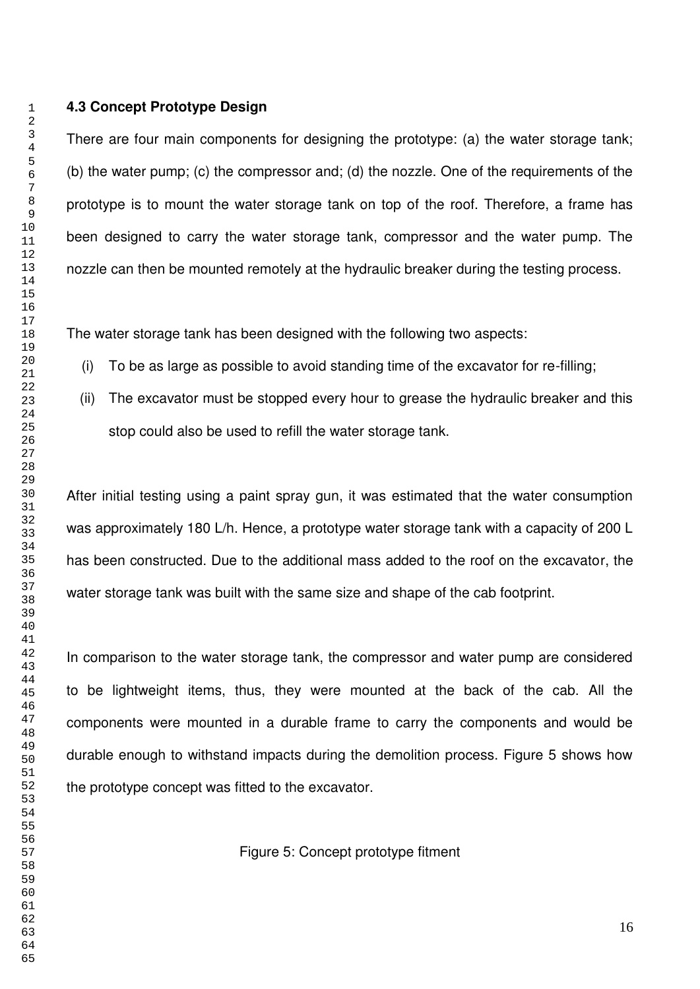#### **4.3 Concept Prototype Design**

There are four main components for designing the prototype: (a) the water storage tank; (b) the water pump; (c) the compressor and; (d) the nozzle. One of the requirements of the prototype is to mount the water storage tank on top of the roof. Therefore, a frame has been designed to carry the water storage tank, compressor and the water pump. The nozzle can then be mounted remotely at the hydraulic breaker during the testing process.

The water storage tank has been designed with the following two aspects:

- (i) To be as large as possible to avoid standing time of the excavator for re-filling;
- (ii) The excavator must be stopped every hour to grease the hydraulic breaker and this stop could also be used to refill the water storage tank.

After initial testing using a paint spray gun, it was estimated that the water consumption was approximately 180 L/h. Hence, a prototype water storage tank with a capacity of 200 L has been constructed. Due to the additional mass added to the roof on the excavator, the water storage tank was built with the same size and shape of the cab footprint.

In comparison to the water storage tank, the compressor and water pump are considered to be lightweight items, thus, they were mounted at the back of the cab. All the components were mounted in a durable frame to carry the components and would be durable enough to withstand impacts during the demolition process. Figure 5 shows how the prototype concept was fitted to the excavator.

Figure 5: Concept prototype fitment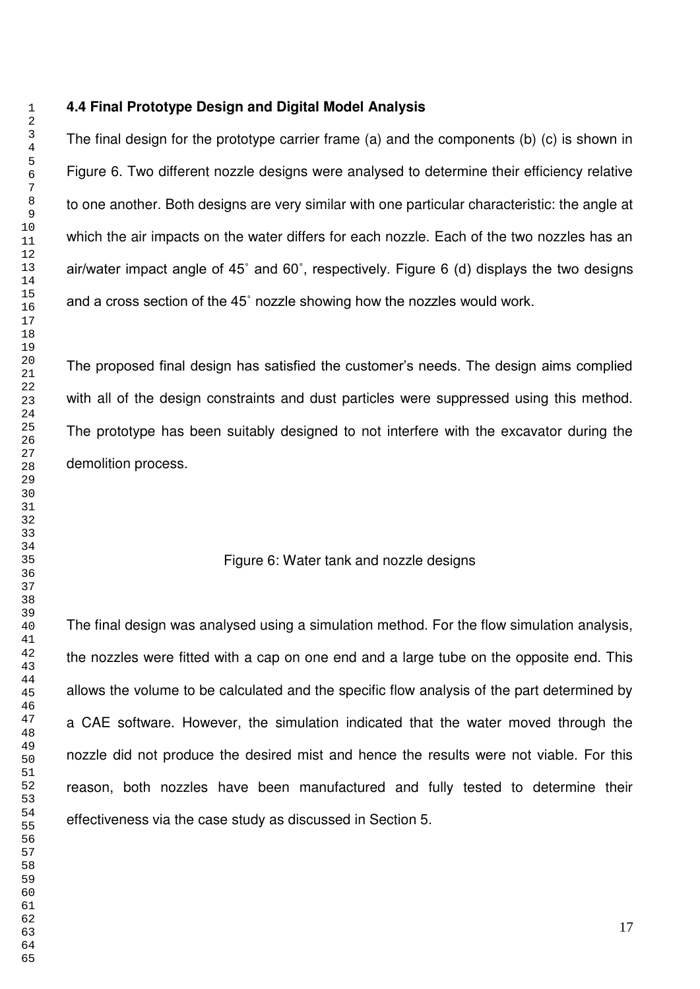#### **4.4 Final Prototype Design and Digital Model Analysis**

The final design for the prototype carrier frame (a) and the components (b) (c) is shown in Figure 6. Two different nozzle designs were analysed to determine their efficiency relative to one another. Both designs are very similar with one particular characteristic: the angle at which the air impacts on the water differs for each nozzle. Each of the two nozzles has an air/water impact angle of 45˚ and 60˚, respectively. Figure 6 (d) displays the two designs and a cross section of the 45˚ nozzle showing how the nozzles would work.

The proposed final design has satisfied the customer's needs. The design aims complied with all of the design constraints and dust particles were suppressed using this method. The prototype has been suitably designed to not interfere with the excavator during the demolition process.

#### Figure 6: Water tank and nozzle designs

The final design was analysed using a simulation method. For the flow simulation analysis, the nozzles were fitted with a cap on one end and a large tube on the opposite end. This allows the volume to be calculated and the specific flow analysis of the part determined by a CAE software. However, the simulation indicated that the water moved through the nozzle did not produce the desired mist and hence the results were not viable. For this reason, both nozzles have been manufactured and fully tested to determine their effectiveness via the case study as discussed in Section 5.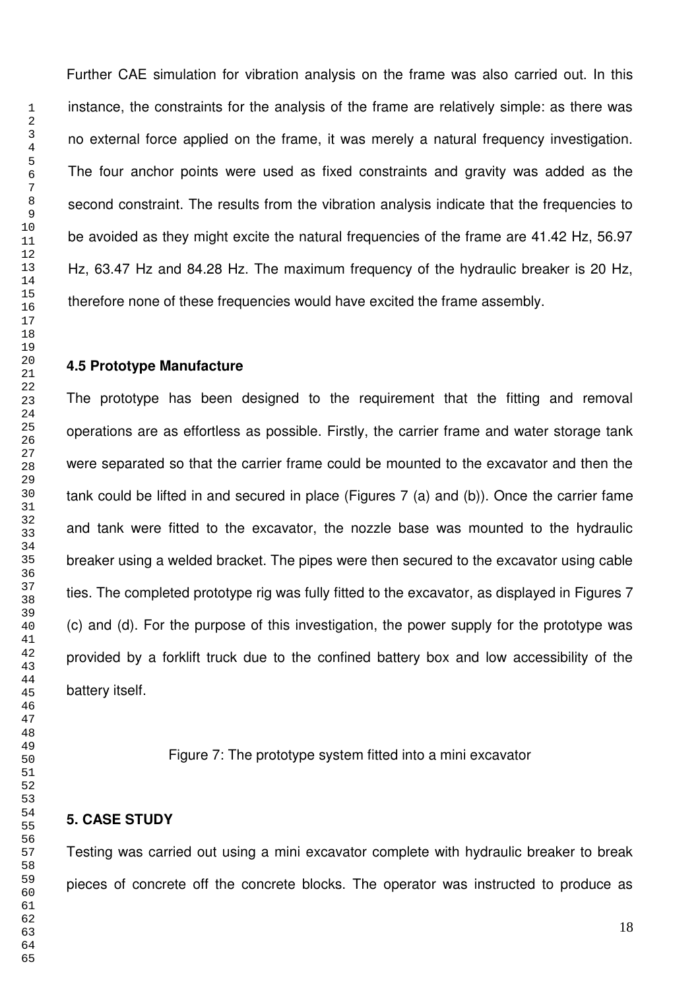Further CAE simulation for vibration analysis on the frame was also carried out. In this instance, the constraints for the analysis of the frame are relatively simple: as there was no external force applied on the frame, it was merely a natural frequency investigation. The four anchor points were used as fixed constraints and gravity was added as the second constraint. The results from the vibration analysis indicate that the frequencies to be avoided as they might excite the natural frequencies of the frame are 41.42 Hz, 56.97 Hz, 63.47 Hz and 84.28 Hz. The maximum frequency of the hydraulic breaker is 20 Hz, therefore none of these frequencies would have excited the frame assembly.

#### **4.5 Prototype Manufacture**

The prototype has been designed to the requirement that the fitting and removal operations are as effortless as possible. Firstly, the carrier frame and water storage tank were separated so that the carrier frame could be mounted to the excavator and then the tank could be lifted in and secured in place (Figures 7 (a) and (b)). Once the carrier fame and tank were fitted to the excavator, the nozzle base was mounted to the hydraulic breaker using a welded bracket. The pipes were then secured to the excavator using cable ties. The completed prototype rig was fully fitted to the excavator, as displayed in Figures 7 (c) and (d). For the purpose of this investigation, the power supply for the prototype was provided by a forklift truck due to the confined battery box and low accessibility of the battery itself.

Figure 7: The prototype system fitted into a mini excavator

#### **5. CASE STUDY**

Testing was carried out using a mini excavator complete with hydraulic breaker to break pieces of concrete off the concrete blocks. The operator was instructed to produce as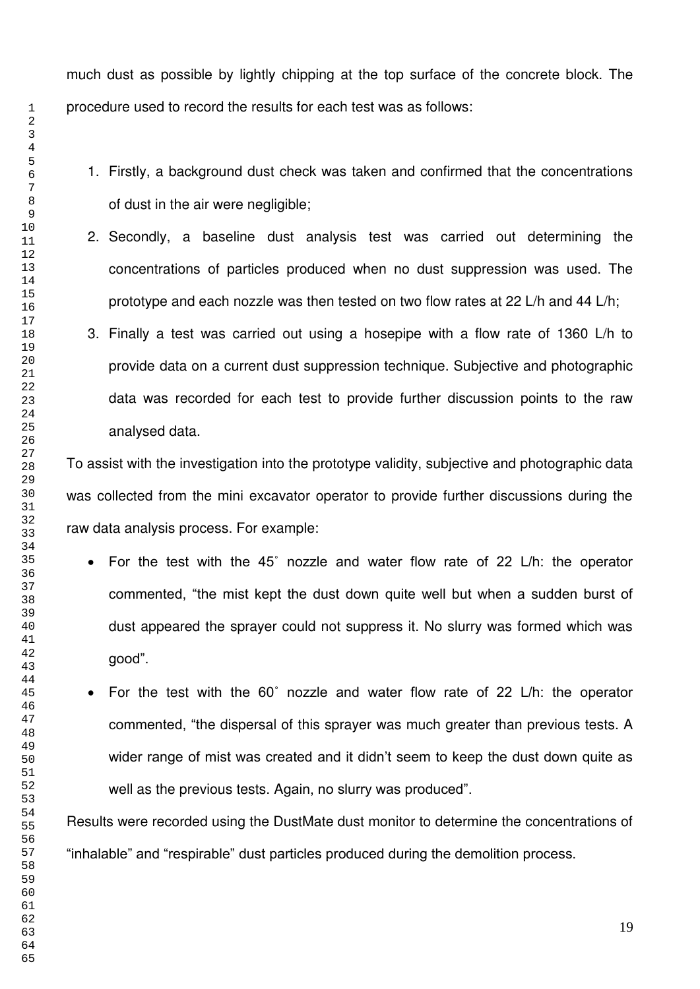much dust as possible by lightly chipping at the top surface of the concrete block. The procedure used to record the results for each test was as follows:

- 1. Firstly, a background dust check was taken and confirmed that the concentrations of dust in the air were negligible;
- 2. Secondly, a baseline dust analysis test was carried out determining the concentrations of particles produced when no dust suppression was used. The prototype and each nozzle was then tested on two flow rates at 22 L/h and 44 L/h;
- 3. Finally a test was carried out using a hosepipe with a flow rate of 1360 L/h to provide data on a current dust suppression technique. Subjective and photographic data was recorded for each test to provide further discussion points to the raw analysed data.

To assist with the investigation into the prototype validity, subjective and photographic data was collected from the mini excavator operator to provide further discussions during the raw data analysis process. For example:

- For the test with the 45˚ nozzle and water flow rate of 22 L/h: the operator commented, "the mist kept the dust down quite well but when a sudden burst of dust appeared the sprayer could not suppress it. No slurry was formed which was good".
- For the test with the 60˚ nozzle and water flow rate of 22 L/h: the operator commented, "the dispersal of this sprayer was much greater than previous tests. A wider range of mist was created and it didn't seem to keep the dust down quite as well as the previous tests. Again, no slurry was produced".

Results were recorded using the DustMate dust monitor to determine the concentrations of "inhalable" and "respirable" dust particles produced during the demolition process.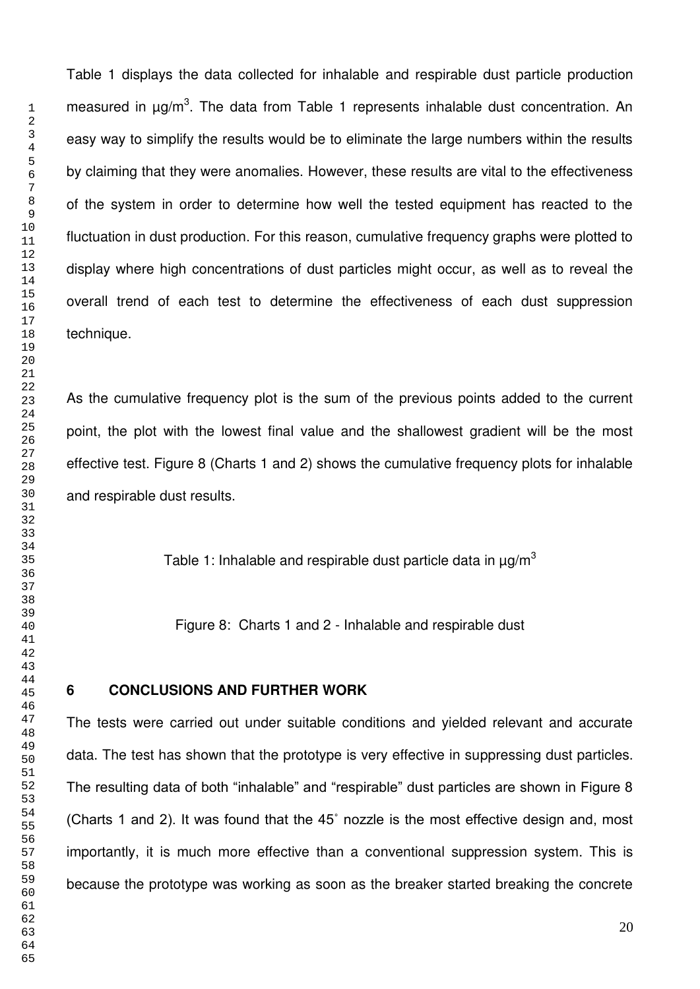Table 1 displays the data collected for inhalable and respirable dust particle production measured in µg/m<sup>3</sup>. The data from Table 1 represents inhalable dust concentration. An easy way to simplify the results would be to eliminate the large numbers within the results by claiming that they were anomalies. However, these results are vital to the effectiveness of the system in order to determine how well the tested equipment has reacted to the fluctuation in dust production. For this reason, cumulative frequency graphs were plotted to display where high concentrations of dust particles might occur, as well as to reveal the overall trend of each test to determine the effectiveness of each dust suppression technique.

As the cumulative frequency plot is the sum of the previous points added to the current point, the plot with the lowest final value and the shallowest gradient will be the most effective test. Figure 8 (Charts 1 and 2) shows the cumulative frequency plots for inhalable and respirable dust results.

Table 1: Inhalable and respirable dust particle data in  $\mu$ g/m<sup>3</sup>

Figure 8: Charts 1 and 2 - Inhalable and respirable dust

# **6 CONCLUSIONS AND FURTHER WORK**

The tests were carried out under suitable conditions and yielded relevant and accurate data. The test has shown that the prototype is very effective in suppressing dust particles. The resulting data of both "inhalable" and "respirable" dust particles are shown in Figure 8 (Charts 1 and 2). It was found that the 45˚ nozzle is the most effective design and, most importantly, it is much more effective than a conventional suppression system. This is because the prototype was working as soon as the breaker started breaking the concrete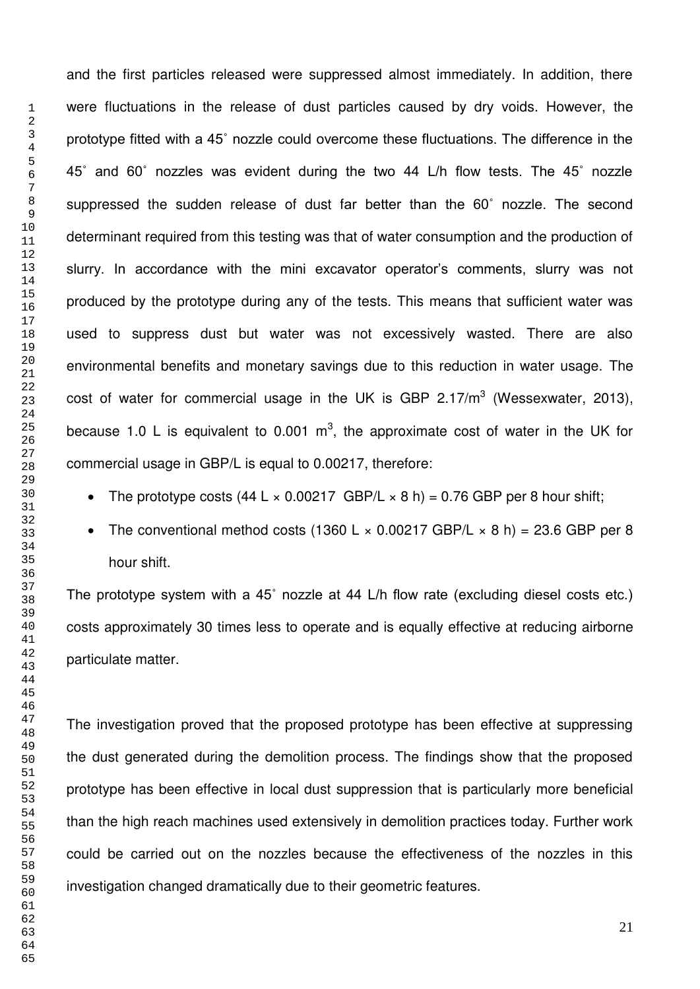and the first particles released were suppressed almost immediately. In addition, there were fluctuations in the release of dust particles caused by dry voids. However, the prototype fitted with a 45˚ nozzle could overcome these fluctuations. The difference in the 45˚ and 60˚ nozzles was evident during the two 44 L/h flow tests. The 45˚ nozzle suppressed the sudden release of dust far better than the 60˚ nozzle. The second determinant required from this testing was that of water consumption and the production of slurry. In accordance with the mini excavator operator's comments, slurry was not produced by the prototype during any of the tests. This means that sufficient water was used to suppress dust but water was not excessively wasted. There are also environmental benefits and monetary savings due to this reduction in water usage. The cost of water for commercial usage in the UK is GBP 2.17/m<sup>3</sup> (Wessexwater, 2013), because 1.0 L is equivalent to 0.001  $m^3$ , the approximate cost of water in the UK for commercial usage in GBP/L is equal to 0.00217, therefore:

- The prototype costs (44 L  $\times$  0.00217 GBP/L  $\times$  8 h) = 0.76 GBP per 8 hour shift;
- The conventional method costs (1360 L  $\times$  0.00217 GBP/L  $\times$  8 h) = 23.6 GBP per 8 hour shift.

The prototype system with a 45˚ nozzle at 44 L/h flow rate (excluding diesel costs etc.) costs approximately 30 times less to operate and is equally effective at reducing airborne particulate matter.

The investigation proved that the proposed prototype has been effective at suppressing the dust generated during the demolition process. The findings show that the proposed prototype has been effective in local dust suppression that is particularly more beneficial than the high reach machines used extensively in demolition practices today. Further work could be carried out on the nozzles because the effectiveness of the nozzles in this investigation changed dramatically due to their geometric features.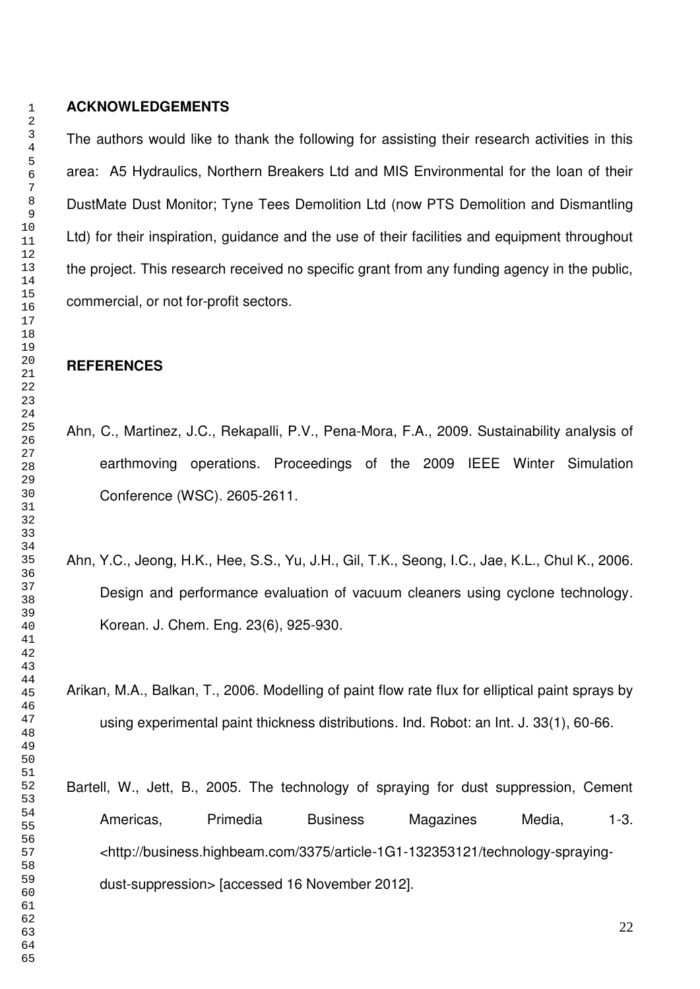#### **ACKNOWLEDGEMENTS**

The authors would like to thank the following for assisting their research activities in this area: A5 Hydraulics, Northern Breakers Ltd and MIS Environmental for the loan of their DustMate Dust Monitor; Tyne Tees Demolition Ltd (now PTS Demolition and Dismantling Ltd) for their inspiration, guidance and the use of their facilities and equipment throughout the project. This research received no specific grant from any funding agency in the public, commercial, or not for-profit sectors.

#### **REFERENCES**

- Ahn, C., Martinez, J.C., Rekapalli, P.V., Pena-Mora, F.A., 2009. Sustainability analysis of earthmoving operations. Proceedings of the 2009 IEEE Winter Simulation Conference (WSC). 2605-2611.
- Ahn, Y.C., Jeong, H.K., Hee, S.S., Yu, J.H., Gil, T.K., Seong, I.C., Jae, K.L., Chul K., 2006. Design and performance evaluation of vacuum cleaners using cyclone technology. Korean. J. Chem. Eng. 23(6), 925-930.

Arikan, M.A., Balkan, T., 2006. Modelling of paint flow rate flux for elliptical paint sprays by using experimental paint thickness distributions. Ind. Robot: an Int. J. 33(1), 60-66.

Bartell, W., Jett, B., 2005. The technology of spraying for dust suppression, Cement Americas, Primedia Business Magazines Media, 1-3. <http://business.highbeam.com/3375/article-1G1-132353121/technology-sprayingdust-suppression> [accessed 16 November 2012].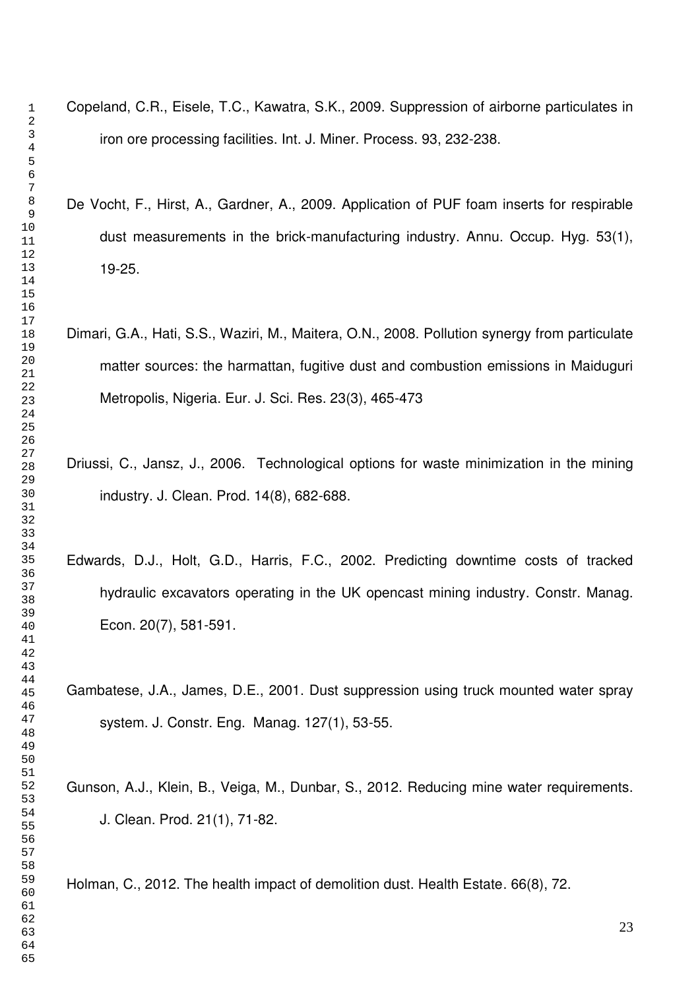- 
- Copeland, C.R., Eisele, T.C., Kawatra, S.K., 2009. Suppression of airborne particulates in iron ore processing facilities. Int. J. Miner. Process. 93, 232-238.
- De Vocht, F., Hirst, A., Gardner, A., 2009. Application of PUF foam inserts for respirable dust measurements in the brick-manufacturing industry. Annu. Occup. Hyg. 53(1), 19-25.
- Dimari, G.A., Hati, S.S., Waziri, M., Maitera, O.N., 2008. Pollution synergy from particulate matter sources: the harmattan, fugitive dust and combustion emissions in Maiduguri Metropolis, Nigeria. Eur. J. Sci. Res. 23(3), 465-473
- Driussi, C., Jansz, J., 2006. Technological options for waste minimization in the mining industry. J. Clean. Prod. 14(8), 682-688.
- Edwards, D.J., Holt, G.D., Harris, F.C., 2002. Predicting downtime costs of tracked hydraulic excavators operating in the UK opencast mining industry. Constr. Manag. Econ. 20(7), 581-591.
- Gambatese, J.A., James, D.E., 2001. Dust suppression using truck mounted water spray system. J. Constr. Eng. Manag. 127(1), 53-55.

Gunson, A.J., Klein, B., Veiga, M., Dunbar, S., 2012. Reducing mine water requirements. J. Clean. Prod. 21(1), 71-82.

Holman, C., 2012. The health impact of demolition dust. Health Estate. 66(8), 72.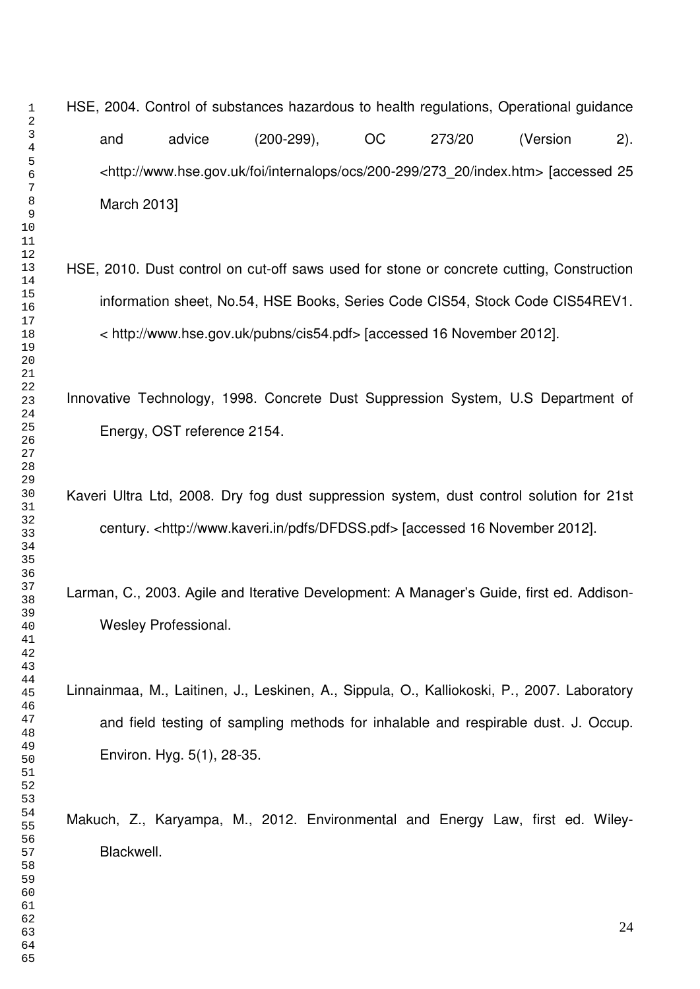# HSE, 2004. Control of substances hazardous to health regulations, Operational guidance and advice (200-299), OC 273/20 (Version 2). <http://www.hse.gov.uk/foi/internalops/ocs/200-299/273\_20/index.htm> [accessed 25 March 2013]

- HSE, 2010. Dust control on cut-off saws used for stone or concrete cutting, Construction information sheet, No.54, HSE Books, Series Code CIS54, Stock Code CIS54REV1. < http://www.hse.gov.uk/pubns/cis54.pdf> [accessed 16 November 2012].
- Innovative Technology, 1998. Concrete Dust Suppression System, U.S Department of Energy, OST reference 2154.
- Kaveri Ultra Ltd, 2008. Dry fog dust suppression system, dust control solution for 21st century. <http://www.kaveri.in/pdfs/DFDSS.pdf> [accessed 16 November 2012].
- Larman, C., 2003. Agile and Iterative Development: A Manager's Guide, first ed. Addison-Wesley Professional.
- Linnainmaa, M., Laitinen, J., Leskinen, A., Sippula, O., Kalliokoski, P., 2007. Laboratory and field testing of sampling methods for inhalable and respirable dust. J. Occup. Environ. Hyg. 5(1), 28-35.

Makuch, Z., Karyampa, M., 2012. Environmental and Energy Law, first ed. Wiley-Blackwell.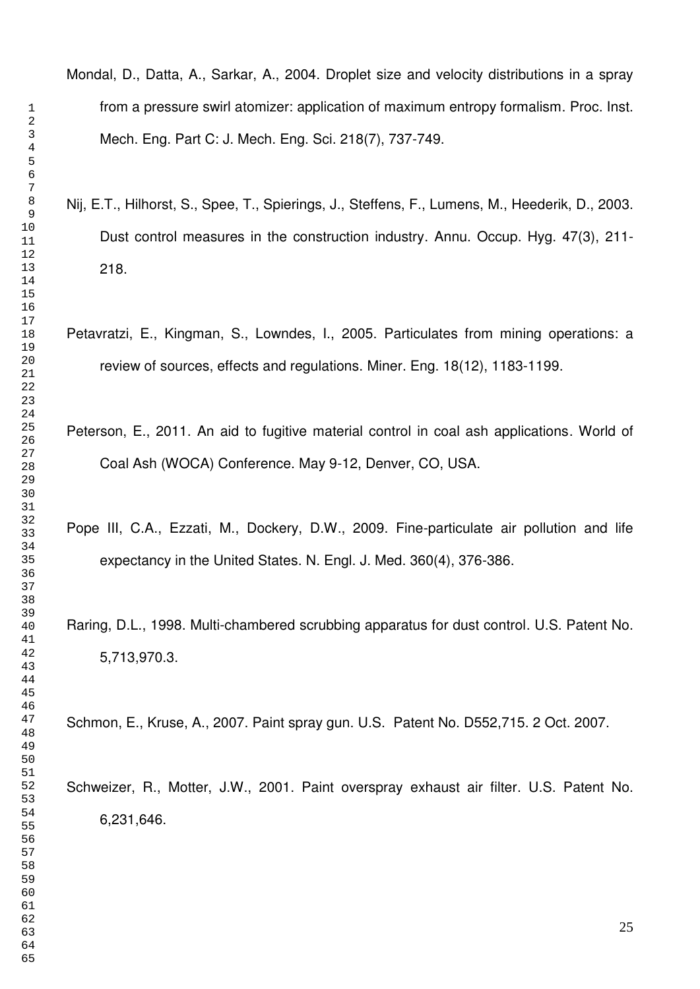Mondal, D., Datta, A., Sarkar, A., 2004. Droplet size and velocity distributions in a spray from a pressure swirl atomizer: application of maximum entropy formalism. Proc. Inst. Mech. Eng. Part C: J. Mech. Eng. Sci. 218(7), 737-749.

- Nij, E.T., Hilhorst, S., Spee, T., Spierings, J., Steffens, F., Lumens, M., Heederik, D., 2003. Dust control measures in the construction industry. Annu. Occup. Hyg. 47(3), 211- 218.
- Petavratzi, E., Kingman, S., Lowndes, I., 2005. Particulates from mining operations: a review of sources, effects and regulations. Miner. Eng. 18(12), 1183-1199.
- Peterson, E., 2011. An aid to fugitive material control in coal ash applications. World of Coal Ash (WOCA) Conference. May 9-12, Denver, CO, USA.
- Pope III, C.A., Ezzati, M., Dockery, D.W., 2009. Fine-particulate air pollution and life expectancy in the United States. N. Engl. J. Med. 360(4), 376-386.
- Raring, D.L., 1998. Multi-chambered scrubbing apparatus for dust control. U.S. Patent No. 5,713,970.3.

Schmon, E., Kruse, A., 2007. Paint spray gun. U.S. Patent No. D552,715. 2 Oct. 2007.

Schweizer, R., Motter, J.W., 2001. Paint overspray exhaust air filter. U.S. Patent No. 6,231,646.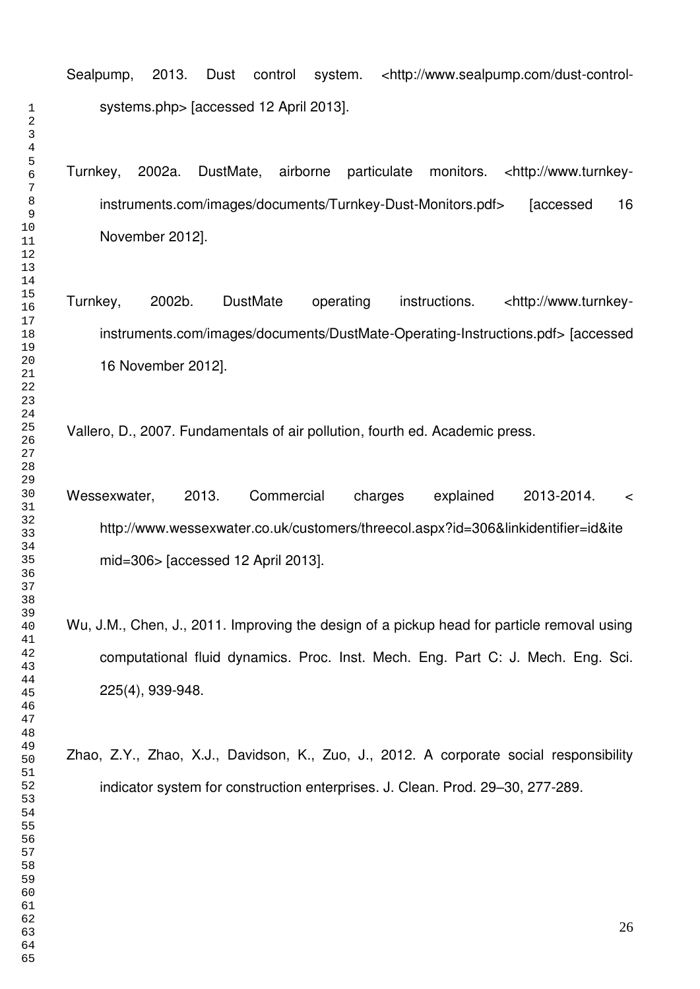Sealpump, 2013. Dust control system. <http://www.sealpump.com/dust-controlsystems.php> [accessed 12 April 2013].

Turnkey, 2002a. DustMate, airborne particulate monitors. <http://www.turnkeyinstruments.com/images/documents/Turnkey-Dust-Monitors.pdf> [accessed 16 November 2012].

Turnkey, 2002b. DustMate operating instructions. <http://www.turnkeyinstruments.com/images/documents/DustMate-Operating-Instructions.pdf> [accessed 16 November 2012].

Vallero, D., 2007. Fundamentals of air pollution, fourth ed. Academic press.

Wessexwater, 2013. Commercial charges explained 2013-2014. < http://www.wessexwater.co.uk/customers/threecol.aspx?id=306&linkidentifier=id&ite mid=306> [accessed 12 April 2013].

Wu, J.M., Chen, J., 2011. Improving the design of a pickup head for particle removal using computational fluid dynamics. Proc. Inst. Mech. Eng. Part C: J. Mech. Eng. Sci. 225(4), 939-948.

Zhao, Z.Y., Zhao, X.J., Davidson, K., Zuo, J., 2012. A corporate social responsibility indicator system for construction enterprises. J. Clean. Prod. 29–30, 277-289.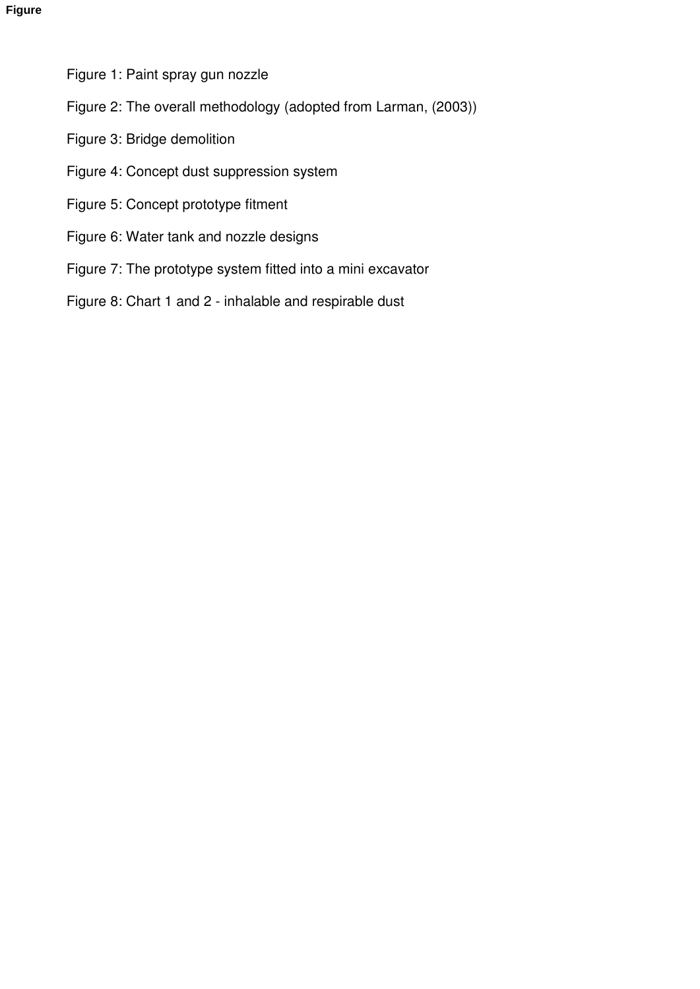- Figure 1: Paint spray gun nozzle
- Figure 2: The overall methodology (adopted from Larman, (2003))
- Figure 3: Bridge demolition
- Figure 4: Concept dust suppression system
- Figure 5: Concept prototype fitment
- Figure 6: Water tank and nozzle designs
- Figure 7: The prototype system fitted into a mini excavator
- Figure 8: Chart 1 and 2 inhalable and respirable dust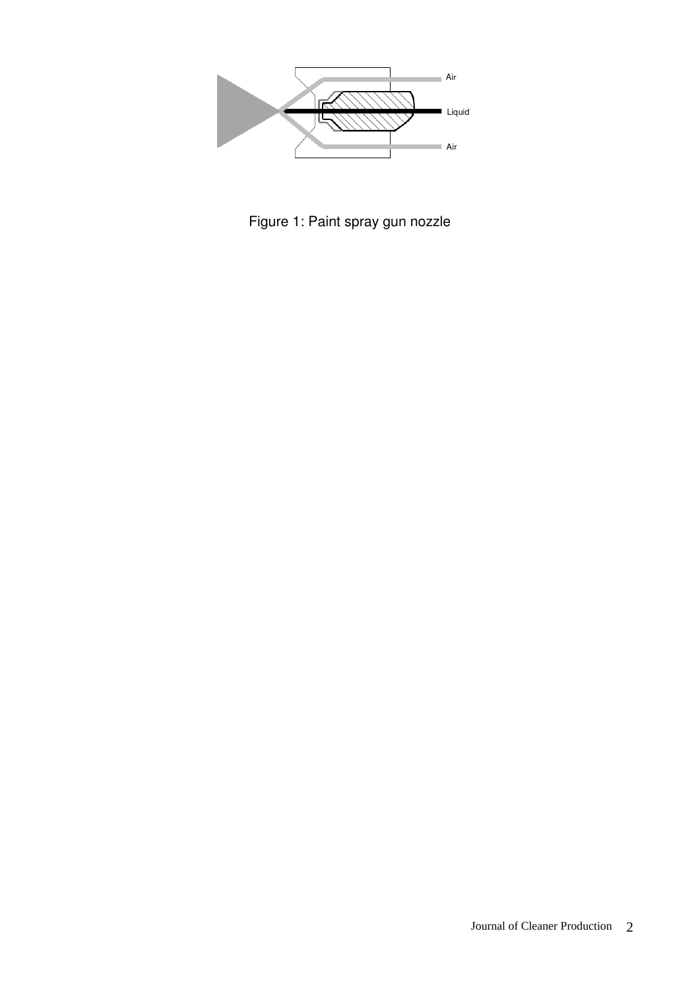

Figure 1: Paint spray gun nozzle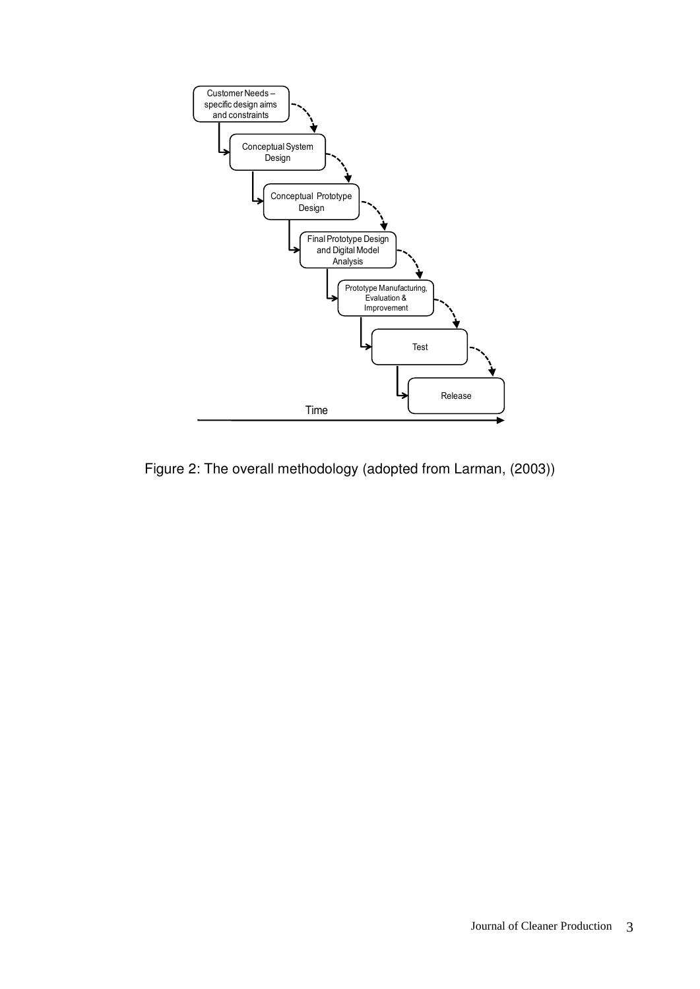

Figure 2: The overall methodology (adopted from Larman, (2003))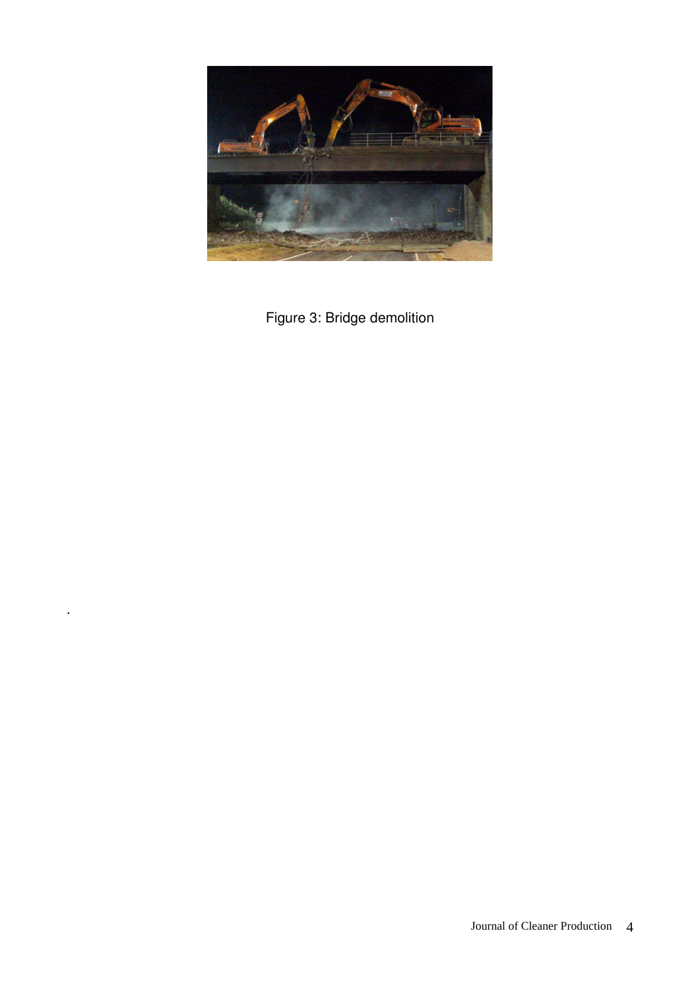

Figure 3: Bridge demolition

.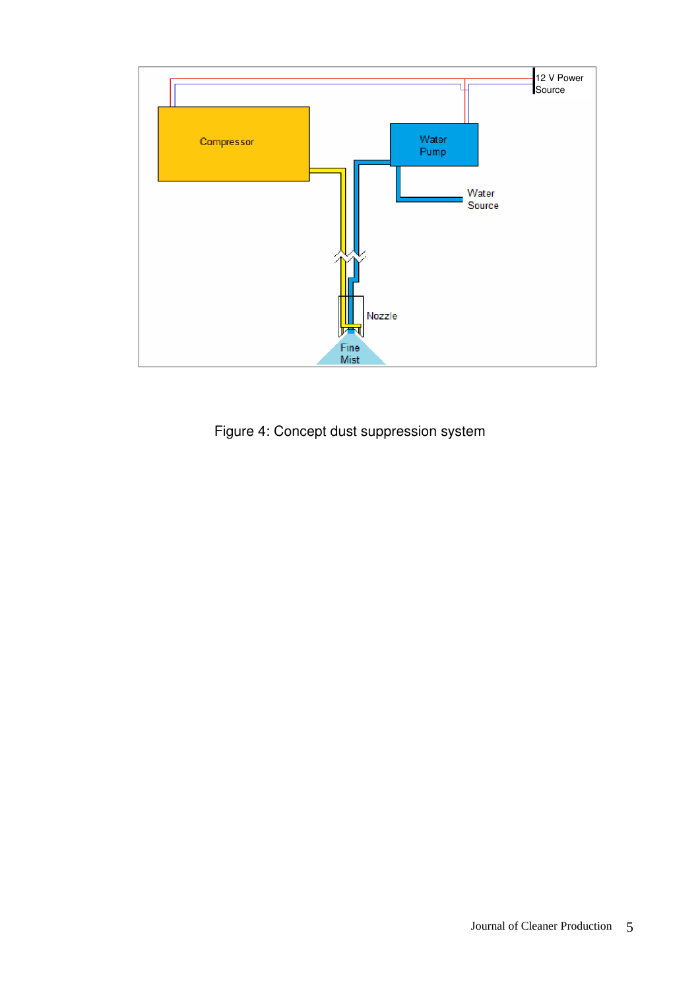

Figure 4: Concept dust suppression system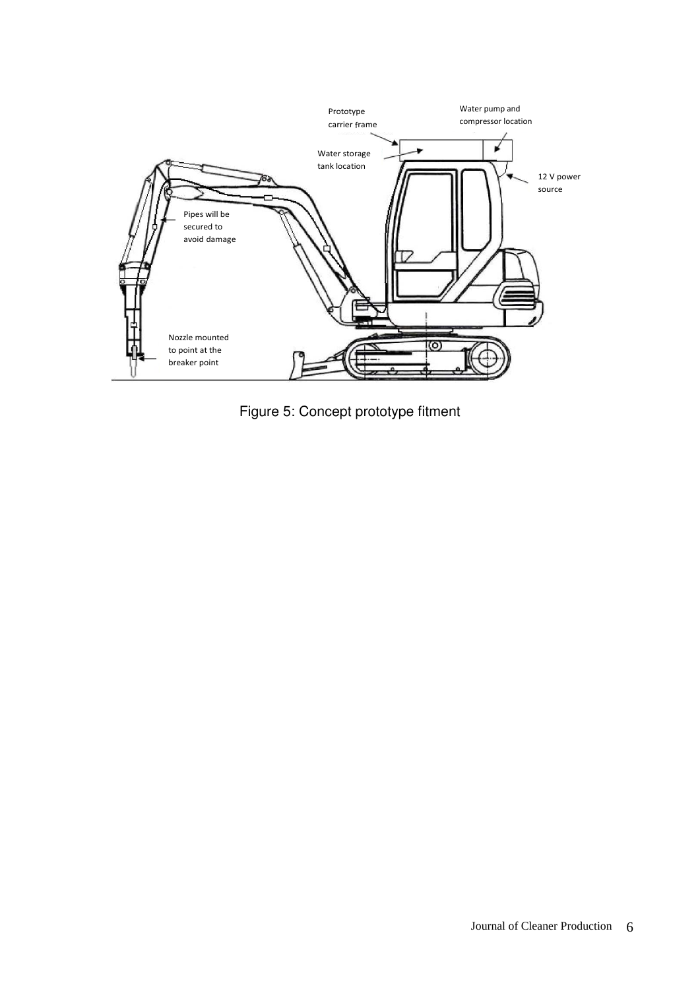

Figure 5: Concept prototype fitment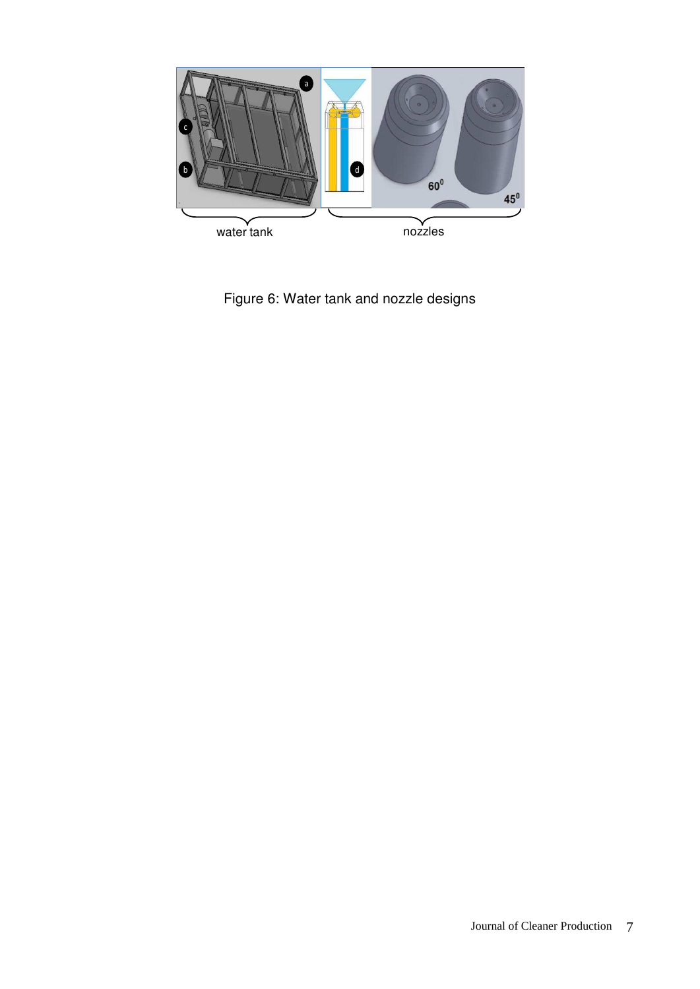

Figure 6: Water tank and nozzle designs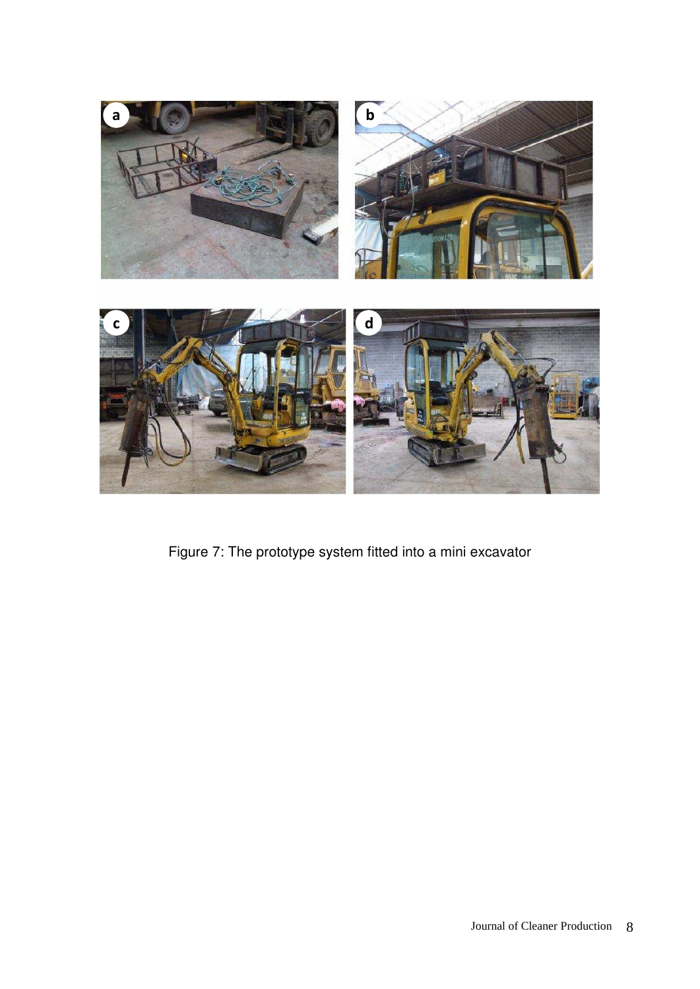

Figure 7: The prototype system fitted into a mini excavator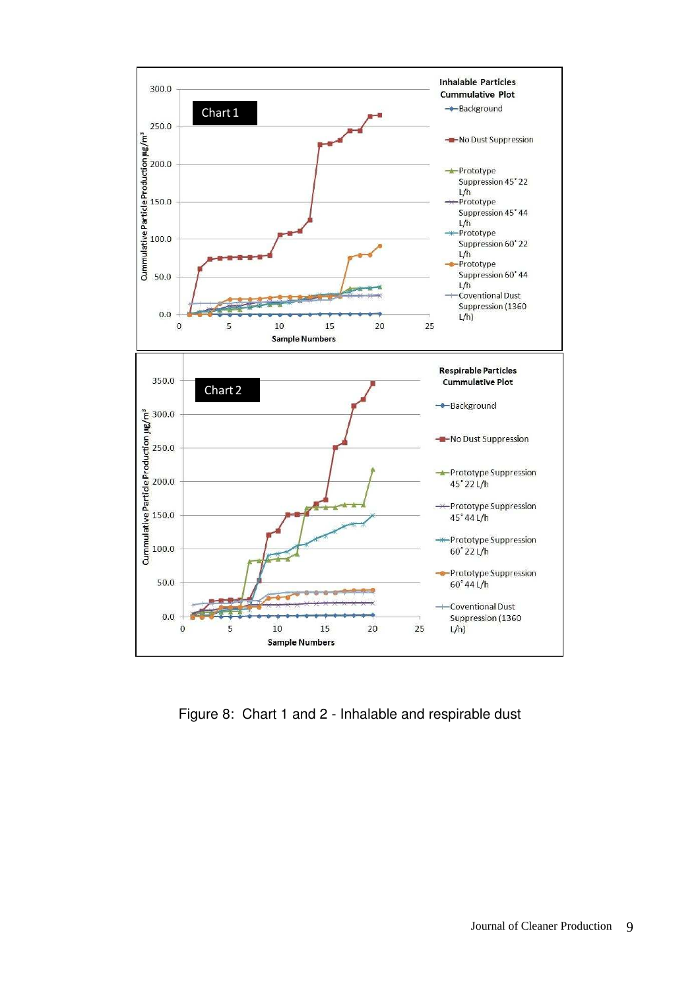

Figure 8: Chart 1 and 2 - Inhalable and respirable dust